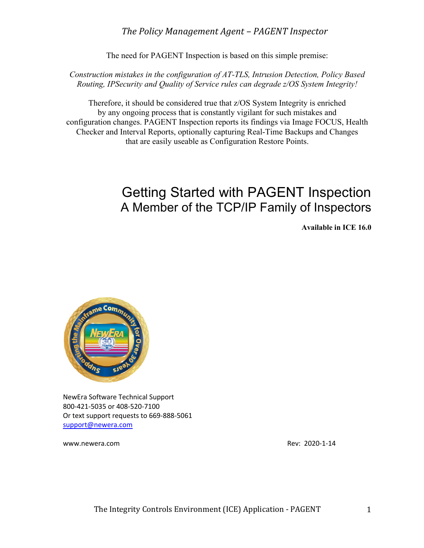## The Policy Management Agent - PAGENT Inspector

The need for PAGENT Inspection is based on this simple premise:

*Construction mistakes in the configuration of AT-TLS, Intrusion Detection, Policy Based Routing, IPSecurity and Quality of Service rules can degrade z/OS System Integrity!*

Therefore, it should be considered true that z/OS System Integrity is enriched by any ongoing process that is constantly vigilant for such mistakes and configuration changes. PAGENT Inspection reports its findings via Image FOCUS, Health Checker and Interval Reports, optionally capturing Real-Time Backups and Changes that are easily useable as Configuration Restore Points.

# Getting Started with PAGENT Inspection A Member of the TCP/IP Family of Inspectors

**Available in ICE 16.0**



NewEra Software Technical Support 800-421-5035 or 408-520-7100 Or text support requests to 669-888-5061 support@newera.com

www.newera.com Rev: 2020-1-14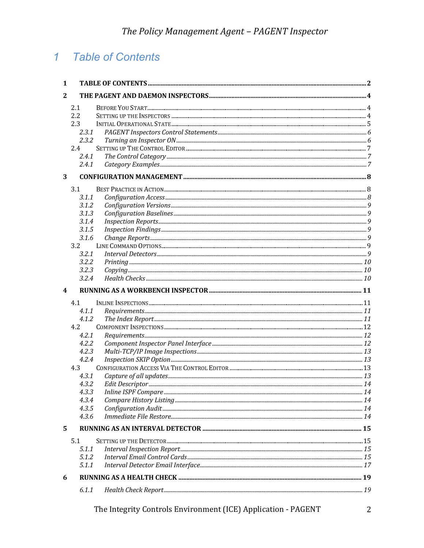#### **Table of Contents**  $\overline{1}$

| 1            |       |  |
|--------------|-------|--|
| $\mathbf{2}$ |       |  |
|              | 2.1   |  |
|              | 2.2   |  |
|              | 2.3   |  |
|              | 2.3.1 |  |
|              | 2.3.2 |  |
|              | 2.4   |  |
|              | 2.4.1 |  |
|              | 2.4.1 |  |
| 3            |       |  |
|              | 3.1   |  |
|              | 3.1.1 |  |
|              | 3.1.2 |  |
|              | 3.1.3 |  |
|              | 3.1.4 |  |
|              | 3.1.5 |  |
|              | 3.1.6 |  |
|              | 3.2   |  |
|              | 3.2.1 |  |
|              | 3.2.2 |  |
|              | 3.2.3 |  |
|              | 3.2.4 |  |
| 4            |       |  |
|              | 4.1   |  |
|              | 4.1.1 |  |
|              | 4.1.2 |  |
|              | 4.2   |  |
|              | 4.2.1 |  |
|              | 4.2.2 |  |
|              | 4.2.3 |  |
|              | 4.2.4 |  |
|              | 4.3   |  |
|              | 4.3.1 |  |
|              | 4.3.2 |  |
|              | 4.3.3 |  |
|              | 4.3.4 |  |
|              | 4.3.5 |  |
|              | 4.3.6 |  |
| 5.           |       |  |
|              | 5.1   |  |
|              | 5.1.1 |  |
|              | 5.1.2 |  |
|              | 5.1.1 |  |
| 6            |       |  |
|              | 6.1.1 |  |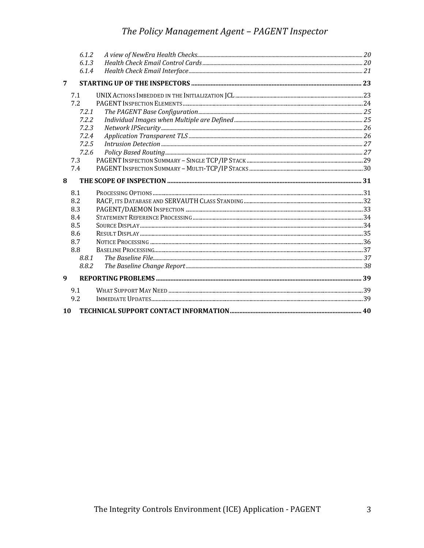# The Policy Management Agent - PAGENT Inspector

|   | 6.1.2 |  |
|---|-------|--|
|   | 6.1.3 |  |
|   | 6.1.4 |  |
| 7 |       |  |
|   | 7.1   |  |
|   | 7.2   |  |
|   | 7.2.1 |  |
|   | 7.2.2 |  |
|   | 7.2.3 |  |
|   | 7.2.4 |  |
|   | 7.2.5 |  |
|   | 7.2.6 |  |
|   | 7.3   |  |
|   | 7.4   |  |
| 8 |       |  |
|   | 8.1   |  |
|   | 8.2   |  |
|   | 8.3   |  |
|   |       |  |
|   | 8.4   |  |
|   | 8.5   |  |
|   | 8.6   |  |
|   | 8.7   |  |
|   | 8.8   |  |
|   | 8.8.1 |  |
|   | 8.8.2 |  |
| 9 |       |  |
|   | 9.1   |  |
|   | 9.2   |  |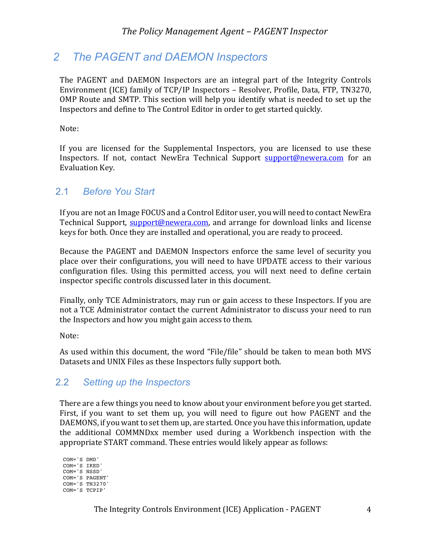# *2 The PAGENT and DAEMON Inspectors*

The PAGENT and DAEMON Inspectors are an integral part of the Integrity Controls Environment (ICE) family of TCP/IP Inspectors - Resolver, Profile, Data, FTP, TN3270, OMP Route and SMTP. This section will help you identify what is needed to set up the Inspectors and define to The Control Editor in order to get started quickly.

Note:

If you are licensed for the Supplemental Inspectors, you are licensed to use these Inspectors. If not, contact NewEra Technical Support support@newera.com for an Evaluation Key.

## 2.1 *Before You Start*

If you are not an Image FOCUS and a Control Editor user, you will need to contact NewEra Technical Support, support@newera.com, and arrange for download links and license keys for both. Once they are installed and operational, you are ready to proceed.

Because the PAGENT and DAEMON Inspectors enforce the same level of security you place over their configurations, you will need to have UPDATE access to their various configuration files. Using this permitted access, you will next need to define certain inspector specific controls discussed later in this document.

Finally, only TCE Administrators, may run or gain access to these Inspectors. If you are not a TCE Administrator contact the current Administrator to discuss your need to run the Inspectors and how you might gain access to them.

Note:

As used within this document, the word "File/file" should be taken to mean both MVS Datasets and UNIX Files as these Inspectors fully support both.

## 2.2 *Setting up the Inspectors*

There are a few things you need to know about your environment before you get started. First, if you want to set them up, you will need to figure out how PAGENT and the DAEMONS, if you want to set them up, are started. Once you have this information, update the additional COMMNDxx member used during a Workbench inspection with the appropriate START command. These entries would likely appear as follows:

COM='S DMD' COM='S IKED' COM='S NSSD' COM='S PAGENT' COM='S TN3270' COM='S TCPIP'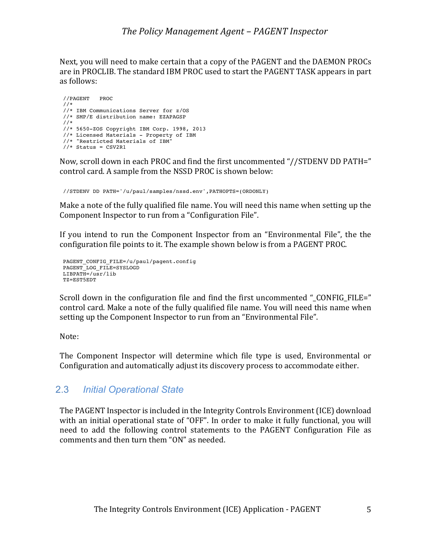Next, you will need to make certain that a copy of the PAGENT and the DAEMON PROCs are in PROCLIB. The standard IBM PROC used to start the PAGENT TASK appears in part as follows:

```
//PAGENT PROC
//*
//* IBM Communications Server for z/OS
//* SMP/E distribution name: EZAPAGSP
//*
//* 5650-ZOS Copyright IBM Corp. 1998, 2013
//* Licensed Materials - Property of IBM
//* "Restricted Materials of IBM"
//* Status = CSV2R1
```
Now, scroll down in each PROC and find the first uncommented "//STDENV DD PATH=" control card. A sample from the NSSD PROC is shown below:

//STDENV DD PATH='/u/paul/samples/nssd.env',PATHOPTS=(ORDONLY)

Make a note of the fully qualified file name. You will need this name when setting up the Component Inspector to run from a "Configuration File".

If you intend to run the Component Inspector from an "Environmental File", the the configuration file points to it. The example shown below is from a PAGENT PROC.

```
PAGENT CONFIG_FILE=/u/paul/pagent.config
PAGENT LOG FILE=SYSLOGD
LIBPATH= /usr/libTZ=EST5EDT
```
Scroll down in the configuration file and find the first uncommented " $CONFIG$  FILE=" control card. Make a note of the fully qualified file name. You will need this name when setting up the Component Inspector to run from an "Environmental File".

Note:

The Component Inspector will determine which file type is used, Environmental or Configuration and automatically adjust its discovery process to accommodate either.

## 2.3 *Initial Operational State*

The PAGENT Inspector is included in the Integrity Controls Environment (ICE) download with an initial operational state of "OFF". In order to make it fully functional, you will need to add the following control statements to the PAGENT Configuration File as comments and then turn them "ON" as needed.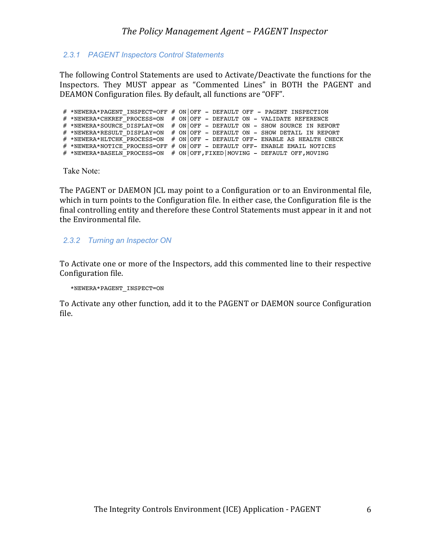### *2.3.1 PAGENT Inspectors Control Statements*

The following Control Statements are used to Activate/Deactivate the functions for the Inspectors. They MUST appear as "Commented Lines" in BOTH the PAGENT and DEAMON Configuration files. By default, all functions are "OFF".

# \*NEWERA\*PAGENT INSPECT=OFF # ON|OFF - DEFAULT OFF - PAGENT INSPECTION # \*NEWERA\*CHKREF PROCESS=ON # ON|OFF - DEFAULT ON - VALIDATE REFERENCE # \*NEWERA\*SOURCE\_DISPLAY=ON # ON OFF - DEFAULT ON - SHOW SOURCE IN REPORT  $\#$  \*NEWERA\*RESULT\_DISPLAY=ON  $\#$  ON|OFF - DEFAULT ON - SHOW DETAIL IN REPORT  $\#$  \*NEWERA\*HLTCHK\_PROCESS=ON  $\#$  ON|OFF - DEFAULT OFF- ENABLE AS HEALTH CHECK # \*NEWERA\*NOTICE PROCESS=OFF # ON OFF - DEFAULT OFF- ENABLE EMAIL NOTICES # \*NEWERA\*BASELN\_PROCESS=ON # ON|OFF,FIXED|MOVING - DEFAULT OFF,MOVING

Take Note:

The PAGENT or DAEMON JCL may point to a Configuration or to an Environmental file, which in turn points to the Configuration file. In either case, the Configuration file is the final controlling entity and therefore these Control Statements must appear in it and not the Environmental file.

#### *2.3.2 Turning an Inspector ON*

To Activate one or more of the Inspectors, add this commented line to their respective Configuration file.

\*NEWERA\*PAGENT\_INSPECT=ON

To Activate any other function, add it to the PAGENT or DAEMON source Configuration file.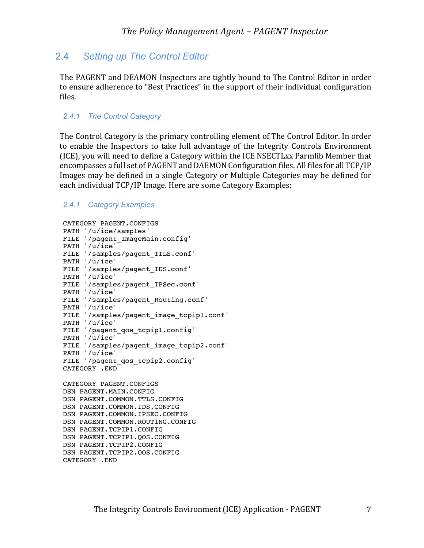## 2.4 *Setting up The Control Editor*

The PAGENT and DEAMON Inspectors are tightly bound to The Control Editor in order to ensure adherence to "Best Practices" in the support of their individual configuration files.

#### *2.4.1 The Control Category*

The Control Category is the primary controlling element of The Control Editor. In order to enable the Inspectors to take full advantage of the Integrity Controls Environment (ICE), you will need to define a Category within the ICE NSECTLxx Parmlib Member that encompasses a full set of PAGENT and DAEMON Configuration files. All files for all TCP/IP Images may be defined in a single Category or Multiple Categories may be defined for each individual TCP/IP Image. Here are some Category Examples:

#### *2.4.1 Category Examples*

```
CATEGORY PAGENT.CONFIGS 
PATH '/u/ice/samples'
FILE '/pagent_ImageMain.config'
PATH '/u/ice'
FILE '/samples/pagent_TTLS.conf'
PATH '/u/ice'
FILE '/samples/pagent_IDS.conf'
PATH '/u/ice'
FILE '/samples/pagent_IPSec.conf'
PATH '/u/ice'
FILE '/samples/pagent_Routing.conf'
PATH '/u/ice'
FILE '/samples/pagent image tcpip1.conf'
PATH '/u/ice'
FILE '/pagent_qos_tcpip1.config'
PATH '/u/ice'
FILE '/samples/pagent_image_tcpip2.conf'
PATH '/u/ice'
FILE '/pagent_qos_tcpip2.config'
CATEGORY .END
CATEGORY PAGENT.CONFIGS 
DSN PAGENT.MAIN.CONFIG
DSN PAGENT.COMMON.TTLS.CONFIG
DSN PAGENT.COMMON.IDS.CONFIG
DSN PAGENT.COMMON.IPSEC.CONFIG
DSN PAGENT.COMMON.ROUTING.CONFIG
```
DSN PAGENT.TCPIP1.CONFIG DSN PAGENT.TCPIP1.QOS.CONFIG

DSN PAGENT.TCPIP2.CONFIG

DSN PAGENT.TCPIP2.QOS.CONFIG CATEGORY .END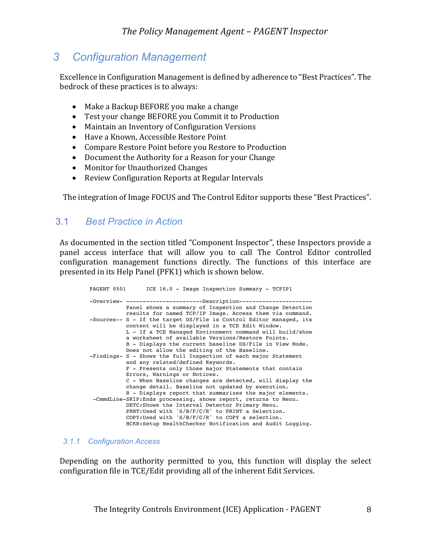# *3 Configuration Management*

Excellence in Configuration Management is defined by adherence to "Best Practices". The bedrock of these practices is to always:

- Make a Backup BEFORE you make a change
- Test your change BEFORE you Commit it to Production
- Maintain an Inventory of Configuration Versions
- Have a Known, Accessible Restore Point
- Compare Restore Point before you Restore to Production
- Document the Authority for a Reason for your Change
- Monitor for Unauthorized Changes
- Review Configuration Reports at Regular Intervals

The integration of Image FOCUS and The Control Editor supports these "Best Practices".

## 3.1 *Best Practice in Action*

As documented in the section titled "Component Inspector", these Inspectors provide a panel access interface that will allow you to call The Control Editor controlled configuration management functions directly. The functions of this interface are presented in its Help Panel (PFK1) which is shown below.

| ICE 16.0 - Image Inspection Summary - TCPIP1<br>PAGENT 0501                                                                                                                                                                                                          |
|----------------------------------------------------------------------------------------------------------------------------------------------------------------------------------------------------------------------------------------------------------------------|
| -Overview- -----------------------Description---------------------<br>Panel shows a summary of Inspection and Change Detection                                                                                                                                       |
| results for named TCP/IP Image. Access them via command.<br>-Sources-- S - If the target DS/File is Control Editor managed, its<br>content will be displayed in a TCE Edit Window.<br>L - If a TCE Managed Environment command will build/show                       |
| a worksheet of available Versions/Restore Points.<br>B - Displays the current baseline DS/File in View Mode.<br>Does not allow the editing of the Baseline.<br>-Findings- S - Shows the full Inspection of each major Statement<br>and any related/defined Keywords. |
| F - Presents only those major Statements that contain<br>Errors, Warnings or Notices.                                                                                                                                                                                |
| C - When Baseline changes are detected, will display the<br>change detail. Baseline not updated by execution.<br>R - Displays report that summarizes the major elements.                                                                                             |
| -CmmdLine-SKIP: Ends processing, shows report, returns to Menu.<br>DETC: Shows the Interval Detector Primary Menu.<br>PRNT: Used with 'S/B/F/C/R' to PRINT a Selection.<br>$COPY: Used$ with 'S/B/F/C/R' to COPY a selection.                                        |
| HCKR: Setup HealthChecker Notification and Audit Logging.                                                                                                                                                                                                            |

#### *3.1.1 Configuration Access*

Depending on the authority permitted to you, this function will display the select configuration file in TCE/Edit providing all of the inherent Edit Services.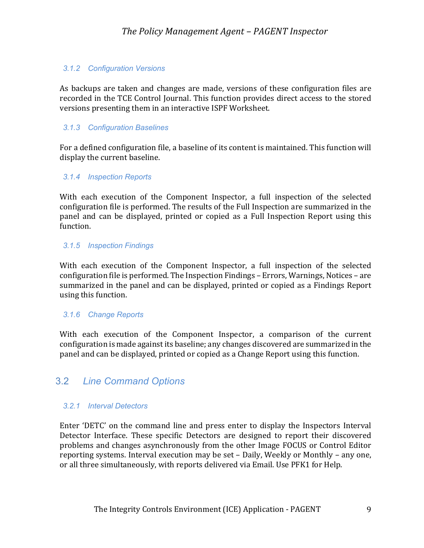#### *3.1.2 Configuration Versions*

As backups are taken and changes are made, versions of these configuration files are recorded in the TCE Control Journal. This function provides direct access to the stored versions presenting them in an interactive ISPF Worksheet.

#### *3.1.3 Configuration Baselines*

For a defined configuration file, a baseline of its content is maintained. This function will display the current baseline.

#### *3.1.4 Inspection Reports*

With each execution of the Component Inspector, a full inspection of the selected configuration file is performed. The results of the Full Inspection are summarized in the panel and can be displayed, printed or copied as a Full Inspection Report using this function.

#### *3.1.5 Inspection Findings*

With each execution of the Component Inspector, a full inspection of the selected configuration file is performed. The Inspection Findings – Errors, Warnings, Notices – are summarized in the panel and can be displayed, printed or copied as a Findings Report using this function.

#### *3.1.6 Change Reports*

With each execution of the Component Inspector, a comparison of the current configuration is made against its baseline; any changes discovered are summarized in the panel and can be displayed, printed or copied as a Change Report using this function.

## 3.2 *Line Command Options*

#### *3.2.1 Interval Detectors*

Enter 'DETC' on the command line and press enter to display the Inspectors Interval Detector Interface. These specific Detectors are designed to report their discovered problems and changes asynchronously from the other Image FOCUS or Control Editor reporting systems. Interval execution may be set - Daily, Weekly or Monthly - any one, or all three simultaneously, with reports delivered via Email. Use PFK1 for Help.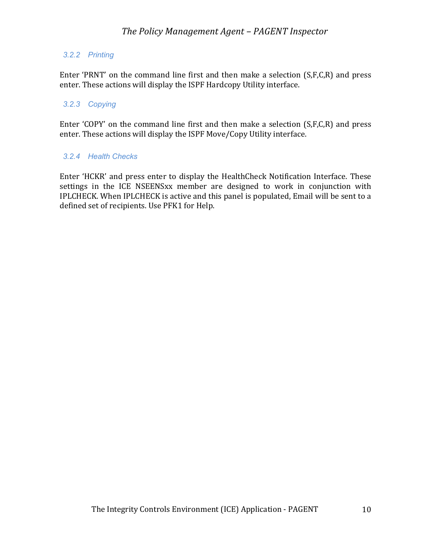### *3.2.2 Printing*

Enter 'PRNT' on the command line first and then make a selection  $(S, F, C, R)$  and press enter. These actions will display the ISPF Hardcopy Utility interface.

#### *3.2.3 Copying*

Enter 'COPY' on the command line first and then make a selection  $(S, F, C, R)$  and press enter. These actions will display the ISPF Move/Copy Utility interface.

#### *3.2.4 Health Checks*

Enter 'HCKR' and press enter to display the HealthCheck Notification Interface. These settings in the ICE NSEENSxx member are designed to work in conjunction with IPLCHECK. When IPLCHECK is active and this panel is populated, Email will be sent to a defined set of recipients. Use PFK1 for Help.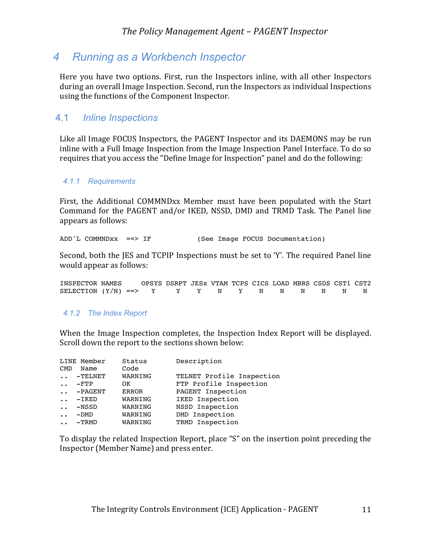# *4 Running as a Workbench Inspector*

Here you have two options. First, run the Inspectors inline, with all other Inspectors during an overall Image Inspection. Second, run the Inspectors as individual Inspections using the functions of the Component Inspector.

## 4.1 *Inline Inspections*

Like all Image FOCUS Inspectors, the PAGENT Inspector and its DAEMONS may be run inline with a Full Image Inspection from the Image Inspection Panel Interface. To do so requires that you access the "Define Image for Inspection" panel and do the following:

#### *4.1.1 Requirements*

First, the Additional COMMNDxx Member must have been populated with the Start Command for the PAGENT and/or IKED, NSSD, DMD and TRMD Task. The Panel line appears as follows:

ADD'L COMMNDxx ==> IF (See Image FOCUS Documentation)

Second, both the JES and TCPIP Inspections must be set to 'Y'. The required Panel line would appear as follows:

| INSPECTOR NAMES                               |  | OPSYS DSRPT JESX VTAM TCPS CICS LOAD MBRS CSDS CST1 CST2 |  |  |  |  |  |
|-----------------------------------------------|--|----------------------------------------------------------|--|--|--|--|--|
| SELECTION $(Y/N)$ ==> Y Y Y N Y N N N N N N N |  |                                                          |  |  |  |  |  |

#### *4.1.2 The Index Report*

When the Image Inspection completes, the Inspection Index Report will be displayed. Scroll down the report to the sections shown below:

|                      | LINE Member | Status       | Description               |
|----------------------|-------------|--------------|---------------------------|
| <b>CMD</b>           | Name        | Code         |                           |
| $\ddot{\phantom{0}}$ | $-TELNET$   | WARNING      | TELNET Profile Inspection |
| $\ddot{\phantom{0}}$ | $ FTP$      | 0K           | FTP Profile Inspection    |
| $\ddotsc$            | $-PAGENT$   | <b>ERROR</b> | PAGENT Inspection         |
| $\ddot{\phantom{0}}$ | $-IKED$     | WARNING      | IKED Inspection           |
| $\ddot{\phantom{0}}$ | $-$ NSSD    | WARNING      | NSSD Inspection           |
| $\ddot{\phantom{0}}$ | $-DMD$      | WARNING      | DMD Inspection            |
|                      | $-TRMD$     | WARNING      | TRMD Inspection           |
|                      |             |              |                           |

To display the related Inspection Report, place "S" on the insertion point preceding the Inspector (Member Name) and press enter.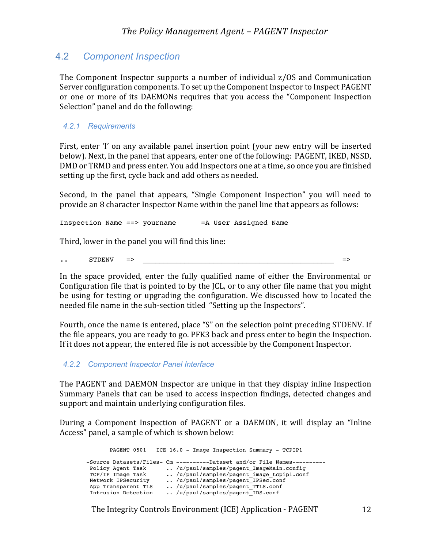## 4.2 *Component Inspection*

The Component Inspector supports a number of individual  $z/OS$  and Communication Server configuration components. To set up the Component Inspector to Inspect PAGENT or one or more of its DAEMONs requires that you access the "Component Inspection Selection" panel and do the following:

#### *4.2.1 Requirements*

First, enter 'I' on any available panel insertion point (your new entry will be inserted below). Next, in the panel that appears, enter one of the following: PAGENT, IKED, NSSD, DMD or TRMD and press enter. You add Inspectors one at a time, so once you are finished setting up the first, cycle back and add others as needed.

Second, in the panel that appears, "Single Component Inspection" you will need to provide an 8 character Inspector Name within the panel line that appears as follows:

Inspection Name ==> yourname =A User Assigned Name

Third, lower in the panel you will find this line:

.. STDENV => \_\_\_\_\_\_\_\_\_\_\_\_\_\_\_\_\_\_\_\_\_\_\_\_\_\_\_\_\_\_\_\_\_\_\_\_\_\_\_\_\_\_\_\_\_\_ =>

In the space provided, enter the fully qualified name of either the Environmental or Configuration file that is pointed to by the ICL, or to any other file name that you might be using for testing or upgrading the configuration. We discussed how to located the needed file name in the sub-section titled "Setting up the Inspectors".

Fourth, once the name is entered, place "S" on the selection point preceding STDENV. If the file appears, you are ready to go. PFK3 back and press enter to begin the Inspection. If it does not appear, the entered file is not accessible by the Component Inspector.

#### *4.2.2 Component Inspector Panel Interface*

The PAGENT and DAEMON Inspector are unique in that they display inline Inspection Summary Panels that can be used to access inspection findings, detected changes and support and maintain underlying configuration files.

During a Component Inspection of PAGENT or a DAEMON, it will display an "Inline" Access" panel, a sample of which is shown below:

| PAGENT 0501                                                                                                | ICE 16.0 - Image Inspection Summary - TCPIP1                                                                                                                                                                                                                                |
|------------------------------------------------------------------------------------------------------------|-----------------------------------------------------------------------------------------------------------------------------------------------------------------------------------------------------------------------------------------------------------------------------|
| Policy Agent Task<br>TCP/IP Image Task<br>Network IPSecurity<br>App Transparent TLS<br>Intrusion Detection | -Source Datasets/Files- Cm ----------Dataset and/or File Names----------<br>/u/paul/samples/pagent ImageMain.config<br>/u/paul/samples/pagent image tcpipl.conf<br>/u/paul/samples/pagent IPSec.conf<br>/u/paul/samples/pagent TTLS.conf<br>/u/paul/samples/pagent IDS.conf |
|                                                                                                            |                                                                                                                                                                                                                                                                             |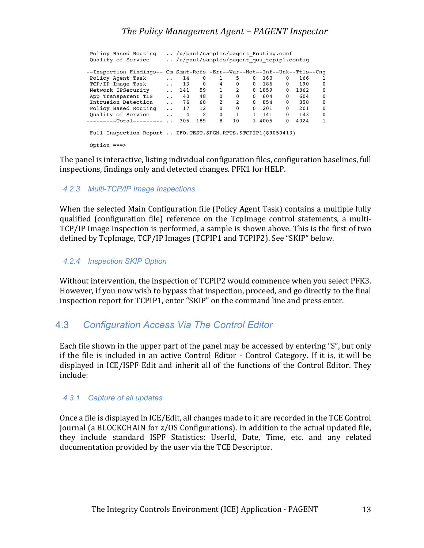| Policy Based Routing                                            |                      | /u/paul/samples/pagent Routing.conf      |          |                |          |              |        |          |                                                  |          |
|-----------------------------------------------------------------|----------------------|------------------------------------------|----------|----------------|----------|--------------|--------|----------|--------------------------------------------------|----------|
| Quality of Service                                              |                      | /u/paul/samples/pagent gos tcpipl.config |          |                |          |              |        |          |                                                  |          |
| --Inspection Findings--                                         |                      |                                          |          |                |          |              |        |          | Cm Smnt-Refs -Err--War--Not--Inf--Unk--Ttls--Cng |          |
| Policy Agent Task                                               | $\ddotsc$            | 14                                       | $\Omega$ |                | 5        | 0            | 160    | $\Omega$ | 166                                              |          |
| TCP/IP Image Task                                               | $\ddot{\phantom{a}}$ | 13                                       | $\Omega$ | $\overline{4}$ | $\Omega$ | $\Omega$     | 186    | $\Omega$ | 190                                              | $\Omega$ |
| Network IPSecurity                                              | $\ddotsc$            | 141                                      | 59       | $\mathbf{1}$   | 2        |              | 0 1859 | $\Omega$ | 1862                                             | 0        |
| App Transparent TLS                                             | $\ddotsc$            | 40                                       | 48       | $\mathbf 0$    | $\Omega$ | $\Omega$     | 604    | $\Omega$ | 604                                              | $\Omega$ |
| Intrusion Detection                                             | $\ddotsc$            | 76                                       | 68       | 2              | 2        | $\Omega$     | 854    | $\Omega$ | 858                                              | 0        |
| Policy Based Routing                                            | $\ddot{\phantom{0}}$ | 17                                       | 12       | $\Omega$       | $\Omega$ | $\Omega$     | 201    | $\Omega$ | 201                                              | 0        |
| Quality of Service                                              | $\ddot{\phantom{0}}$ | 4                                        | 2        | $\mathbf 0$    | 1        | $\mathbf{1}$ | 141    | $\Omega$ | 143                                              | $\Omega$ |
| --------Total---------                                          | $\ddot{\phantom{a}}$ | 305                                      | 189      | 8              | 10       |              | 1 4005 | $\Omega$ | 4024                                             | 1        |
| Full Inspection Report  IFO.TEST.\$PGN.RPTS.\$TCPIP1(\$9050413) |                      |                                          |          |                |          |              |        |          |                                                  |          |
| Option $==$                                                     |                      |                                          |          |                |          |              |        |          |                                                  |          |

The panel is interactive, listing individual configuration files, configuration baselines, full inspections, findings only and detected changes. PFK1 for HELP.

#### *4.2.3 Multi-TCP/IP Image Inspections*

When the selected Main Configuration file (Policy Agent Task) contains a multiple fully qualified (configuration file) reference on the TcpImage control statements, a multi-TCP/IP Image Inspection is performed, a sample is shown above. This is the first of two defined by TcpImage, TCP/IP Images (TCPIP1 and TCPIP2). See "SKIP" below.

#### *4.2.4 Inspection SKIP Option*

Without intervention, the inspection of TCPIP2 would commence when you select PFK3. However, if you now wish to bypass that inspection, proceed, and go directly to the final inspection report for TCPIP1, enter "SKIP" on the command line and press enter.

## 4.3 *Configuration Access Via The Control Editor*

Each file shown in the upper part of the panel may be accessed by entering "S", but only if the file is included in an active Control Editor - Control Category. If it is, it will be displayed in ICE/ISPF Edit and inherit all of the functions of the Control Editor. They include:

#### *4.3.1 Capture of all updates*

Once a file is displayed in ICE/Edit, all changes made to it are recorded in the TCE Control Journal (a BLOCKCHAIN for z/OS Configurations). In addition to the actual updated file, they include standard ISPF Statistics: UserId, Date, Time, etc. and any related documentation provided by the user via the TCE Descriptor.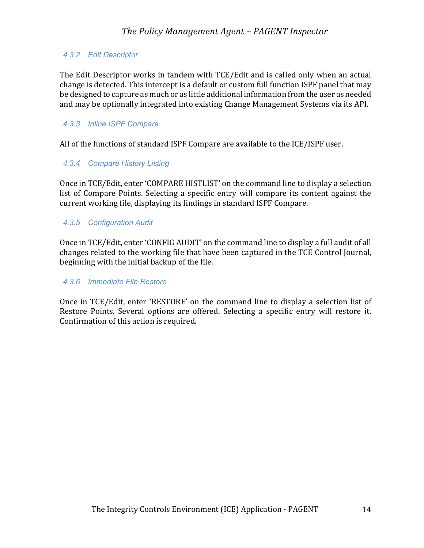### *4.3.2 Edit Descriptor*

The Edit Descriptor works in tandem with TCE/Edit and is called only when an actual change is detected. This intercept is a default or custom full function ISPF panel that may be designed to capture as much or as little additional information from the user as needed and may be optionally integrated into existing Change Management Systems via its API.

#### *4.3.3 Inline ISPF Compare*

All of the functions of standard ISPF Compare are available to the ICE/ISPF user.

#### *4.3.4 Compare History Listing*

Once in TCE/Edit, enter 'COMPARE HISTLIST' on the command line to display a selection list of Compare Points. Selecting a specific entry will compare its content against the current working file, displaying its findings in standard ISPF Compare.

#### *4.3.5 Configuration Audit*

Once in TCE/Edit, enter 'CONFIG AUDIT' on the command line to display a full audit of all changes related to the working file that have been captured in the TCE Control Journal, beginning with the initial backup of the file.

#### *4.3.6 Immediate File Restore*

Once in TCE/Edit, enter 'RESTORE' on the command line to display a selection list of Restore Points. Several options are offered. Selecting a specific entry will restore it. Confirmation of this action is required.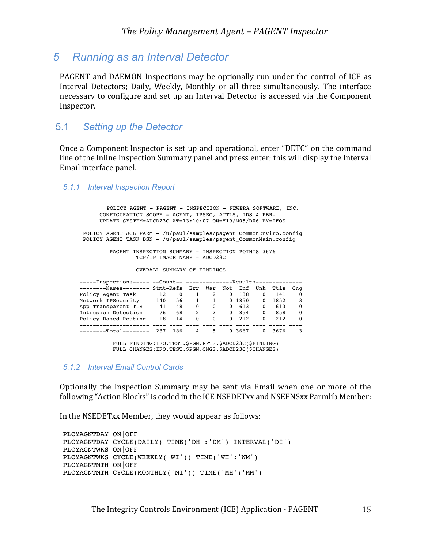## *5 Running as an Interval Detector*

PAGENT and DAEMON Inspections may be optionally run under the control of ICE as Interval Detectors; Daily, Weekly, Monthly or all three simultaneously. The interface necessary to configure and set up an Interval Detector is accessed via the Component Inspector.

### 5.1 *Setting up the Detector*

Once a Component Inspector is set up and operational, enter "DETC" on the command line of the Inline Inspection Summary panel and press enter; this will display the Interval Email interface panel.

#### *5.1.1 Interval Inspection Report*

 POLICY AGENT - PAGENT - INSPECTION - NEWERA SOFTWARE, INC. CONFIGURATION SCOPE - AGENT, IPSEC, ATTLS, IDS & PBR. UPDATE SYSTEM=ADCD23C AT=13:10:07 ON=Y19/M05/D06 BY=IFOS POLICY AGENT JCL PARM - /u/paul/samples/pagent CommonEnviro.config POLICY AGENT TASK DSN - /u/paul/samples/pagent\_CommonMain.config PAGENT INSPECTION SUMMARY - INSPECTION POINTS=3676 TCP/IP IMAGE NAME - ADCD23C OVERALL SUMMARY OF FINDINGS -----Inspections----- --Count-- ------------------Results-------------- --------Names-------- Stmt-Refs Err War Not Inf Unk Ttls Cng Policy Agent Task 12 0 1 2 0 138 0 141 0 Network IPSecurity 140 56 1 1 0 1850 0 1852 3 App Transparent TLS 41 48 0 0 0 613 0 613 0 Intrusion Detection 76 68 2 2 0 854 0 858 0 Policy Based Routing 18 14 0 0 0 212 0 212 0 --------------------- ---- ---- ---- ---- ---- ---- ---- ----- ---- --------Total-------- 287 186 4 5 0 3667 0 3676 3

> FULL FINDING:IFO.TEST.\$PGN.RPTS.\$ADCD23C(\$FINDING) FULL CHANGES:IFO.TEST.\$PGN.CNGS.\$ADCD23C(\$CHANGES)

#### *5.1.2 Interval Email Control Cards*

Optionally the Inspection Summary may be sent via Email when one or more of the following "Action Blocks" is coded in the ICE NSEDETxx and NSEENSxx Parmlib Member:

In the NSEDETxx Member, they would appear as follows:

```
PLCYAGNTDAY ON|OFF
PLCYAGNTDAY CYCLE(DAILY) TIME('DH':'DM') INTERVAL('DI')
PLCYAGNTWKS ON|OFF
PLCYAGNTWKS CYCLE(WEEKLY('WI')) TIME('WH':'WM')
PLCYAGNTMTH ON|OFF
PLCYAGNTMTH CYCLE(MONTHLY('MI')) TIME('MH':'MM')
```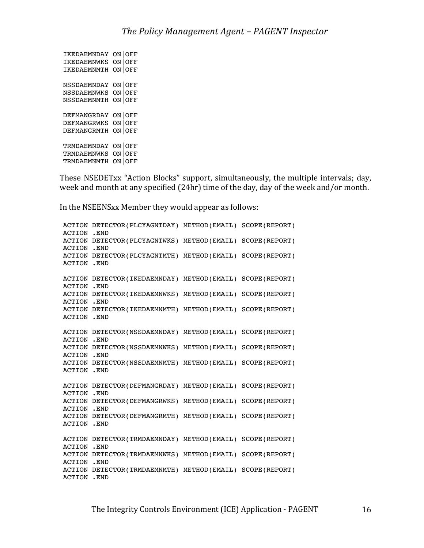IKEDAEMNDAY ON|OFF IKEDAEMNWKS ON|OFF IKEDAEMNMTH ON|OFF NSSDAEMNDAY ON|OFF NSSDAEMNWKS ON|OFF NSSDAEMNMTH ON|OFF DEFMANGRDAY ON|OFF DEFMANGRWKS ON|OFF DEFMANGRMTH ON|OFF TRMDAEMNDAY ON|OFF TRMDAEMNWKS ON|OFF TRMDAEMNMTH ON|OFF

These NSEDETxx "Action Blocks" support, simultaneously, the multiple intervals; day, week and month at any specified  $(24hr)$  time of the day, day of the week and/or month.

In the NSEENSxx Member they would appear as follows:

ACTION DETECTOR(PLCYAGNTDAY) METHOD(EMAIL) SCOPE(REPORT) ACTION .END ACTION DETECTOR(PLCYAGNTWKS) METHOD(EMAIL) SCOPE(REPORT) ACTION .END ACTION DETECTOR(PLCYAGNTMTH) METHOD(EMAIL) SCOPE(REPORT) ACTION .END ACTION DETECTOR(IKEDAEMNDAY) METHOD(EMAIL) SCOPE(REPORT) ACTION .END ACTION DETECTOR(IKEDAEMNWKS) METHOD(EMAIL) SCOPE(REPORT) ACTION .END ACTION DETECTOR(IKEDAEMNMTH) METHOD(EMAIL) SCOPE(REPORT) ACTION .END ACTION DETECTOR(NSSDAEMNDAY) METHOD(EMAIL) SCOPE(REPORT) ACTION .END ACTION DETECTOR(NSSDAEMNWKS) METHOD(EMAIL) SCOPE(REPORT) ACTION .END ACTION DETECTOR(NSSDAEMNMTH) METHOD(EMAIL) SCOPE(REPORT) ACTION .END ACTION DETECTOR(DEFMANGRDAY) METHOD(EMAIL) SCOPE(REPORT) ACTION .END ACTION DETECTOR(DEFMANGRWKS) METHOD(EMAIL) SCOPE(REPORT) ACTION .END ACTION DETECTOR(DEFMANGRMTH) METHOD(EMAIL) SCOPE(REPORT) ACTION .END ACTION DETECTOR(TRMDAEMNDAY) METHOD(EMAIL) SCOPE(REPORT) ACTION .END ACTION DETECTOR(TRMDAEMNWKS) METHOD(EMAIL) SCOPE(REPORT) ACTION .END ACTION DETECTOR(TRMDAEMNMTH) METHOD(EMAIL) SCOPE(REPORT) ACTION .END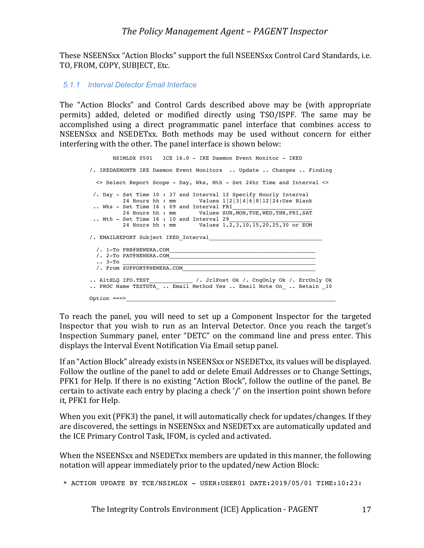These NSEENSxx "Action Blocks" support the full NSEENSxx Control Card Standards, i.e. TO, FROM, COPY, SUBJECT, Etc.

#### *5.1.1 Interval Detector Email Interface*

The "Action Blocks" and Control Cards described above may be (with appropriate permits) added, deleted or modified directly using TSO/ISPF. The same may be accomplished using a direct programmatic panel interface that combines access to NSEENSxx and NSEDETxx. Both methods may be used without concern for either interfering with the other. The panel interface is shown below:

 NSIMLDX 0501 ICE 16.0 - IKE Daemon Event Monitor - IKED /. IKEDAEMONTR IKE Daemon Event Monitors .. Update .. Changes .. Finding <> Select Report Scope - Day, Wks, Mth - Set 24hr Time and Interval <> /. Day - Set Time 10 : 37 and Interval 12 Specify Hourly Interval 24 Hours hh : mm Values 1|2|3|4|6|8|12|24:Use Blank .. Wks - Set Time 16 : 09 and Interval  $FRI$ 24 Hours hh : mm Values SUN, MON, TUE, WED, THR, FRI, SAT .. Mth - Set Time 16 : 10 and Interval 29 24 Hours hh : mm  $V$ alues  $1, 2, 3, 10, 15, 20, 25, 30$  or EOM /. EMAILREPORT Subject IKED Interval /. 1-To PRR@NEWERA.COM  $/$ . 2-To PAT@NEWERA.COM\_  $\ldots$  3-To  $\_\_$  /. From SUPPORT@NEWERA.COM\_\_\_\_\_\_\_\_\_\_\_\_\_\_\_\_\_\_\_\_\_\_\_\_\_\_\_\_\_\_\_\_\_\_\_\_\_\_\_\_ .. AltHLO IFO.TEST  $\qquad$  /. JrlPost Ok /. CngOnly Ok /. ErrOnly Ok .. PROC Name TESTDTA\_ .. Email Method Yes .. Email Note On\_ .. Retain 10 Option  $==->$ 

To reach the panel, you will need to set up a Component Inspector for the targeted Inspector that you wish to run as an Interval Detector. Once you reach the target's Inspection Summary panel, enter "DETC" on the command line and press enter. This displays the Interval Event Notification Via Email setup panel.

If an "Action Block" already exists in NSEENSxx or NSEDETxx, its values will be displayed. Follow the outline of the panel to add or delete Email Addresses or to Change Settings, PFK1 for Help. If there is no existing "Action Block", follow the outline of the panel. Be certain to activate each entry by placing a check '/' on the insertion point shown before it, PFK1 for Help.

When you exit (PFK3) the panel, it will automatically check for updates/changes. If they are discovered, the settings in NSEENSxx and NSEDETxx are automatically updated and the ICE Primary Control Task, IFOM, is cycled and activated.

When the NSEENSxx and NSEDETxx members are updated in this manner, the following notation will appear immediately prior to the updated/new Action Block:

```
* ACTION UPDATE BY TCE/NSIMLDX - USER:USER01 DATE:2019/05/01 TIME:10:23:
```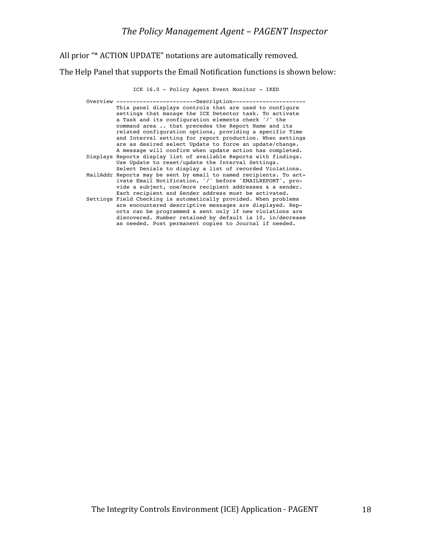All prior "\* ACTION UPDATE" notations are automatically removed.

The Help Panel that supports the Email Notification functions is shown below:

#### ICE 16.0 - Policy Agent Event Monitor - IKED

| Overview ------------------------Description--------               |
|--------------------------------------------------------------------|
| This panel displays controls that are used to configure            |
| settings that manage the ICE Detector task. To activate            |
| a Task and its configuration elements check '/' the                |
| command area  that precedes the Report Name and its                |
| related configuration options, providing a specific Time           |
| and Interval setting for report production. When settings          |
| are as desired select Update to force an update/change.            |
| A message will confirm when update action has completed.           |
| Displays Reports display list of available Reports with findings.  |
| Use Update to reset/update the Interval Settings.                  |
| Select Denials to display a list of recorded Violations.           |
| MailAddr Reports may be sent by email to named recipients. To act- |
| ivate Email Notification, '/' before 'EMAILREPORT', pro-           |
| vide a subject, one/more recipient addresses & a sender.           |
| Each recipient and Sender address must be activated.               |
| Settings Field Checking is automatically provided. When problems   |
| are encountered descriptive messages are displayed. Rep-           |
| orts can be programmed & sent only if new violations are           |
| discovered. Number retained by default is 10, in/decrease          |
| as needed. Post permanent copies to Journal if needed.             |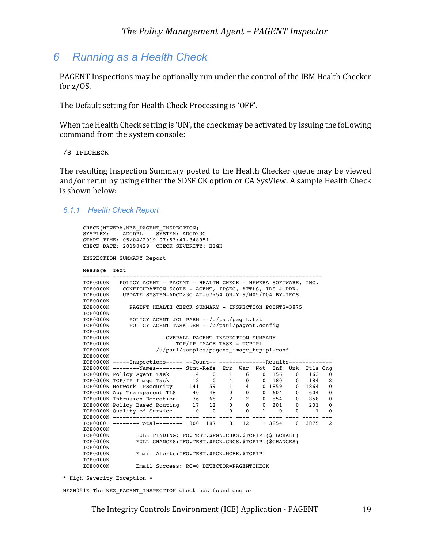## *6 Running as a Health Check*

PAGENT Inspections may be optionally run under the control of the IBM Health Checker for  $z/OS$ .

The Default setting for Health Check Processing is 'OFF'.

When the Health Check setting is 'ON', the check may be activated by issuing the following command from the system console:

/S IPLCHECK

The resulting Inspection Summary posted to the Health Checker queue may be viewed and/or rerun by using either the SDSF CK option or CA SysView. A sample Health Check is shown below:

#### *6.1.1 Health Check Report*

|                      | CHECK DATE: 20190429 CHECK SEVERITY: HIGH                                                                                                                                       |                            |                |  |       |  |            |              |        |
|----------------------|---------------------------------------------------------------------------------------------------------------------------------------------------------------------------------|----------------------------|----------------|--|-------|--|------------|--------------|--------|
|                      | INSPECTION SUMMARY Report                                                                                                                                                       |                            |                |  |       |  |            |              |        |
| Message Text         |                                                                                                                                                                                 |                            |                |  |       |  |            |              |        |
|                      | ICE0000N POLICY AGENT - PAGENT - HEALTH CHECK - NEWERA SOFTWARE, INC.                                                                                                           |                            |                |  |       |  |            |              |        |
| ICE0000N             | CONFIGURATION SCOPE - AGENT, IPSEC, ATTLS, IDS & PBR.                                                                                                                           |                            |                |  |       |  |            |              |        |
| ICE0000N             | UPDATE SYSTEM=ADCD23C AT=07:54 ON=Y19/M05/D04 BY=IFOS                                                                                                                           |                            |                |  |       |  |            |              |        |
| ICE0000N             |                                                                                                                                                                                 |                            |                |  |       |  |            |              |        |
| ICE0000N             | PAGENT HEALTH CHECK SUMMARY - INSPECTION POINTS=3875                                                                                                                            |                            |                |  |       |  |            |              |        |
| ICE0000N             |                                                                                                                                                                                 |                            |                |  |       |  |            |              |        |
| ICE0000N             | POLICY AGENT JCL PARM - /u/pat/pagnt.txt                                                                                                                                        |                            |                |  |       |  |            |              |        |
| ICE0000N             | POLICY AGENT TASK DSN - /u/paul/pagent.config                                                                                                                                   |                            |                |  |       |  |            |              |        |
| ICE0000N             |                                                                                                                                                                                 |                            |                |  |       |  |            |              |        |
| ICE0000N             | OVERALL PAGENT INSPECTION SUMMARY                                                                                                                                               |                            |                |  |       |  |            |              |        |
| ICE0000N             |                                                                                                                                                                                 | TCP/IP IMAGE TASK - TCPIP1 |                |  |       |  |            |              |        |
| ICE0000N             | /u/paul/samples/pagent image tcpipl.conf                                                                                                                                        |                            |                |  |       |  |            |              |        |
| ICE0000N             |                                                                                                                                                                                 |                            |                |  |       |  |            |              |        |
|                      | ICE0000N -----Inspections----- --Count-- --------------Results--------                                                                                                          |                            |                |  |       |  |            |              |        |
|                      | ICE0000N --------Names-------- Stmt-Refs Err War Not Inf Unk Ttls Cng                                                                                                           |                            |                |  |       |  |            |              |        |
|                      | ICE0000N Policy Agent Task 14                                                                                                                                                   |                            | $\overline{0}$ |  | 1 6 0 |  | 156        | $\mathbf{0}$ | 163    |
|                      | ICE0000N TCP/IP Image Task 12 0 4 0 0 180                                                                                                                                       |                            |                |  |       |  |            | $\mathbf{0}$ | 184    |
|                      | ICE0000N Network IPSecurity 141                                                                                                                                                 |                            | 59             |  |       |  | 1 4 0 1859 |              | 0 1864 |
|                      | ICE0000N App Transparent TLS<br>ICE0000N App Transparent TLS $40$ 48 0 0 0 604<br>ICE0000N Intrusion Detection 76 68 2 2 0 854<br>ICE0000N Policy Based Routing 17 12 0 0 0 201 |                            |                |  |       |  |            | 0            | 604    |
|                      |                                                                                                                                                                                 |                            |                |  |       |  |            | $\mathbf{0}$ | 858    |
|                      |                                                                                                                                                                                 |                            |                |  |       |  |            | $\Omega$     | 201    |
|                      | ICE0000N Quality of Service                                                                                                                                                     |                            |                |  |       |  |            | $\mathbf{0}$ | 1      |
|                      | ICE0000N --------------------- -                                                                                                                                                |                            |                |  |       |  |            |              |        |
|                      | ICE0000E -------Total------- 300 187 8 12 1 3854 0 3875 2                                                                                                                       |                            |                |  |       |  |            |              |        |
| ICE0000N             |                                                                                                                                                                                 |                            |                |  |       |  |            |              |        |
| ICE0000N             | FULL FINDING: IFO. TEST. \$PGN. CHKS. \$TCPIP1(\$HLCKALL)                                                                                                                       |                            |                |  |       |  |            |              |        |
| ICE0000N             | FULL CHANGES: IFO. TEST. \$PGN. CNGS. \$TCPIP1 (\$CHANGES)                                                                                                                      |                            |                |  |       |  |            |              |        |
|                      |                                                                                                                                                                                 |                            |                |  |       |  |            |              |        |
| ICE0000N<br>ICE0000N | Email Alerts: IFO. TEST. \$PGN. MCHK. \$TCPIP1                                                                                                                                  |                            |                |  |       |  |            |              |        |

\* High Severity Exception \*

NEZH051E The NEZ\_PAGENT\_INSPECTION check has found one or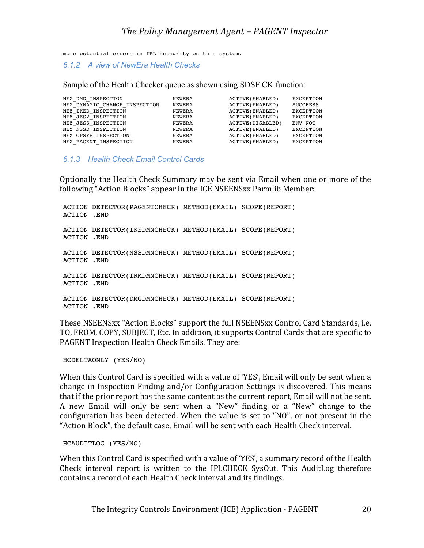### *The Policy Management Agent – PAGENT Inspector*

more potential errors in IPL integrity on this system.

*6.1.2 A view of NewEra Health Checks*

Sample of the Health Checker queue as shown using SDSF CK function:

| NEZ DMD INSPECTION            | NEWERA | ACTIVE (ENABLED)  | EXCEPTION |
|-------------------------------|--------|-------------------|-----------|
| NEZ DYNAMIC CHANGE INSPECTION | NEWERA | ACTIVE (ENABLED)  | SUCCEESS  |
| NEZ IKED INSPECTION           | NEWERA | ACTIVE (ENABLED)  | EXCEPTION |
| NEZ JES2 INSPECTION           | NEWERA | ACTIVE (ENABLED)  | EXCEPTION |
| NEZ JES3 INSPECTION           | NEWERA | ACTIVE (DISABLED) | ENV NOT   |
| NEZ NSSD INSPECTION           | NEWERA | ACTIVE (ENABLED)  | EXCEPTION |
| NEZ OPSYS INSPECTION          | NEWERA | ACTIVE (ENABLED)  | EXCEPTION |
| NEZ PAGENT INSPECTION         | NEWERA | ACTIVE (ENABLED)  | EXCEPTION |
|                               |        |                   |           |

#### *6.1.3 Health Check Email Control Cards*

Optionally the Health Check Summary may be sent via Email when one or more of the following "Action Blocks" appear in the ICE NSEENSxx Parmlib Member:

```
ACTION DETECTOR(PAGENTCHECK) METHOD(EMAIL) SCOPE(REPORT)
ACTION .END
ACTION DETECTOR(IKEDMNCHECK) METHOD(EMAIL) SCOPE(REPORT)
ACTION .END
ACTION DETECTOR(NSSDMNCHECK) METHOD(EMAIL) SCOPE(REPORT)
ACTION .END
ACTION DETECTOR(TRMDMNCHECK) METHOD(EMAIL) SCOPE(REPORT)
ACTION .END
ACTION DETECTOR(DMGDMNCHECK) METHOD(EMAIL) SCOPE(REPORT)
ACTION .END
```
These NSEENSxx "Action Blocks" support the full NSEENSxx Control Card Standards, i.e. TO, FROM, COPY, SUBJECT, Etc. In addition, it supports Control Cards that are specific to PAGENT Inspection Health Check Emails. They are:

HCDELTAONLY (YES/NO)

When this Control Card is specified with a value of 'YES', Email will only be sent when a change in Inspection Finding and/or Configuration Settings is discovered. This means that if the prior report has the same content as the current report, Email will not be sent. A new Email will only be sent when a "New" finding or a "New" change to the configuration has been detected. When the value is set to "NO", or not present in the "Action Block", the default case, Email will be sent with each Health Check interval.

HCAUDITLOG (YES/NO)

When this Control Card is specified with a value of 'YES', a summary record of the Health Check interval report is written to the IPLCHECK SysOut. This AuditLog therefore contains a record of each Health Check interval and its findings.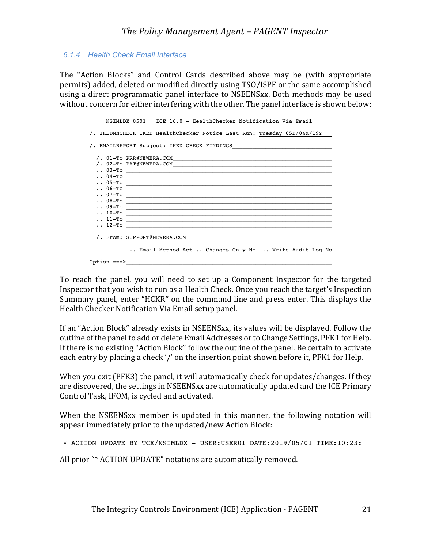#### *6.1.4 Health Check Email Interface*

The "Action Blocks" and Control Cards described above may be (with appropriate permits) added, deleted or modified directly using TSO/ISPF or the same accomplished using a direct programmatic panel interface to NSEENSxx. Both methods may be used without concern for either interfering with the other. The panel interface is shown below:

 NSIMLDX 0501 ICE 16.0 - HealthChecker Notification Via Email /. IKEDMNCHECK IKED HealthChecker Notice Last Run: Tuesday 05D/04M/19Y /. EMAILREPORT Subject: IKED CHECK FINDINGS /. 01-To PRR@NEWERA.COM\_\_\_\_\_\_\_\_\_\_\_\_\_\_\_\_\_\_\_\_\_\_\_\_\_\_\_\_\_\_\_\_\_\_\_\_\_\_\_\_\_\_\_\_\_\_\_\_  $/$ . 02-To PAT@NEWERA.COM  $\cdots$  03-To  $\begin{array}{cccccccccccc}\n \cdot \cdot & 0 & 4 & -\text{To} & & & & \\
 \cdot \cdot & 0 & 5 & -\text{To} & & & & \\
 \end{array}$  $\bullet \bullet$  05-To  $\_\_$  .. 06-To \_\_\_\_\_\_\_\_\_\_\_\_\_\_\_\_\_\_\_\_\_\_\_\_\_\_\_\_\_\_\_\_\_\_\_\_\_\_\_\_\_\_\_\_\_\_\_\_\_\_\_\_\_\_\_\_\_\_\_\_\_\_  $\cdots$  07-To \_  $\cdots$  08-To  $\_\_$  $\cdots 09$ -To  $\cdots$  10-To  $\begin{array}{cl} \ldots & \text{11--To} \ \ldots & \text{12--To} \end{array}$  $\cdots$  12-To  $\_\_$ /. From: SUPPORT@NEWERA.COM .. Email Method Act .. Changes Only No .. Write Audit Log No Option ===>\_\_\_\_\_\_\_\_\_\_\_\_\_\_\_\_\_\_\_\_\_\_\_\_\_\_\_\_\_\_\_\_\_\_\_\_\_\_\_\_\_\_\_\_\_\_\_\_\_\_\_\_\_\_\_\_\_\_\_\_\_\_

To reach the panel, you will need to set up a Component Inspector for the targeted Inspector that you wish to run as a Health Check. Once you reach the target's Inspection Summary panel, enter "HCKR" on the command line and press enter. This displays the Health Checker Notification Via Email setup panel.

If an "Action Block" already exists in NSEENSxx, its values will be displayed. Follow the outline of the panel to add or delete Email Addresses or to Change Settings, PFK1 for Help. If there is no existing "Action Block" follow the outline of the panel. Be certain to activate each entry by placing a check '/' on the insertion point shown before it, PFK1 for Help.

When you exit (PFK3) the panel, it will automatically check for updates/changes. If they are discovered, the settings in NSEENSxx are automatically updated and the ICE Primary Control Task, IFOM, is cycled and activated.

When the NSEENSxx member is updated in this manner, the following notation will appear immediately prior to the updated/new Action Block:

\* ACTION UPDATE BY TCE/NSIMLDX - USER:USER01 DATE:2019/05/01 TIME:10:23:

All prior "\* ACTION UPDATE" notations are automatically removed.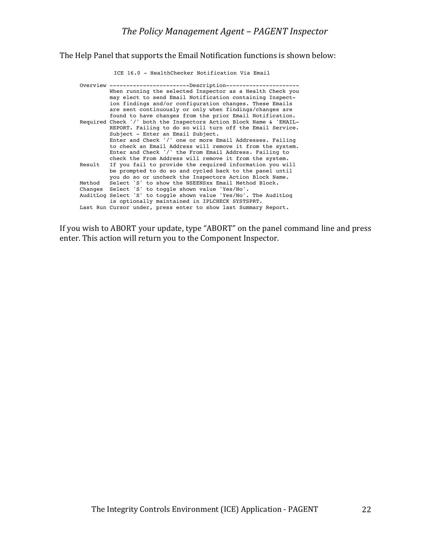The Help Panel that supports the Email Notification functions is shown below:

 ICE 16.0 - HealthChecker Notification Via Email Overview ---------------------------Description----------- When running the selected Inspector as a Health Check you may elect to send Email Notification containing Inspect ion findings and/or configuration changes. These Emails are sent continuously or only when findings/changes are found to have changes from the prior Email Notification. Required Check '/' both the Inspectors Action Block Name & 'EMAIL- REPORT. Failing to do so will turn off the Email Service. Subject - Enter an Email Subject. Enter and Check '/' one or more Email Addresses. Failing to check an Email Address will remove it from the system. Enter and Check '/' the From Email Address. Failing to check the From Address will remove it from the system.<br>Result If you fail to provide the required information you wi If you fail to provide the required information you will be prompted to do so and cycled back to the panel until you do so or uncheck the Inspectors Action Block Name. Method Select 'S' to show the NSEENSxx Email Method Block. Changes Select 'S' to toggle shown value 'Yes/No'. AuditLog Select 'S' to toggle shown value 'Yes/No'. The AuditLog is optionally maintained in IPLCHECK SYSTSPRT. Last Run Cursor under, press enter to show last Summary Report.

If you wish to ABORT your update, type "ABORT" on the panel command line and press enter. This action will return you to the Component Inspector.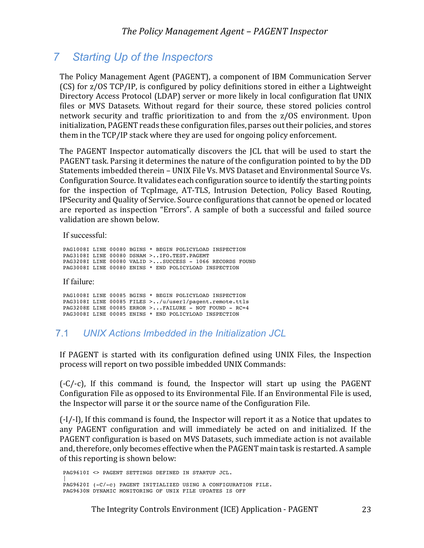# *7 Starting Up of the Inspectors*

The Policy Management Agent (PAGENT), a component of IBM Communication Server (CS) for z/OS TCP/IP, is configured by policy definitions stored in either a Lightweight Directory Access Protocol (LDAP) server or more likely in local configuration flat UNIX files or MVS Datasets. Without regard for their source, these stored policies control network security and traffic prioritization to and from the z/OS environment. Upon initialization, PAGENT reads these configuration files, parses out their policies, and stores them in the TCP/IP stack where they are used for ongoing policy enforcement.

The PAGENT Inspector automatically discovers the JCL that will be used to start the PAGENT task. Parsing it determines the nature of the configuration pointed to by the DD Statements imbedded therein - UNIX File Vs. MVS Dataset and Environmental Source Vs. Configuration Source. It validates each configuration source to identify the starting points for the inspection of TcpImage, AT-TLS, Intrusion Detection, Policy Based Routing, IPSecurity and Quality of Service. Source configurations that cannot be opened or located are reported as inspection "Errors". A sample of both a successful and failed source validation are shown below.

If successful:

PAG1008I LINE 00080 BGINS \* BEGIN POLICYLOAD INSPECTION PAG3108I LINE 00080 DSNAM >..IFO.TEST.PAGEMT PAG3208I LINE 00080 VALID >...SUCCESS - 1066 RECORDS FOUND PAG3008I LINE 00080 ENINS \* END POLICYLOAD INSPECTION If failure: PAG1008I LINE 00085 BGINS \* BEGIN POLICYLOAD INSPECTION PAG3108I LINE 00085 FILES >../u/user1/pagent.remote.ttls PAG3208E LINE 00085 ERROR >...FAILURE - NOT FOUND - RC=4

PAG3008I LINE 00085 ENINS \* END POLICYLOAD INSPECTION

## 7.1 *UNIX Actions Imbedded in the Initialization JCL*

If PAGENT is started with its configuration defined using UNIX Files, the Inspection process will report on two possible imbedded UNIX Commands:

 $(-C/-c)$ , If this command is found, the Inspector will start up using the PAGENT Configuration File as opposed to its Environmental File. If an Environmental File is used, the Inspector will parse it or the source name of the Configuration File.

 $(-I/-I)$ , If this command is found, the Inspector will report it as a Notice that updates to any PAGENT configuration and will immediately be acted on and initialized. If the PAGENT configuration is based on MVS Datasets, such immediate action is not available and, therefore, only becomes effective when the PAGENT main task is restarted. A sample of this reporting is shown below:

PAG9610I <> PAGENT SETTINGS DEFINED IN STARTUP JCL. | PAG9620I (-C/-c) PAGENT INITIALIZED USING A CONFIGURATION FILE. PAG9630N DYNAMIC MONITORING OF UNIX FILE UPDATES IS OFF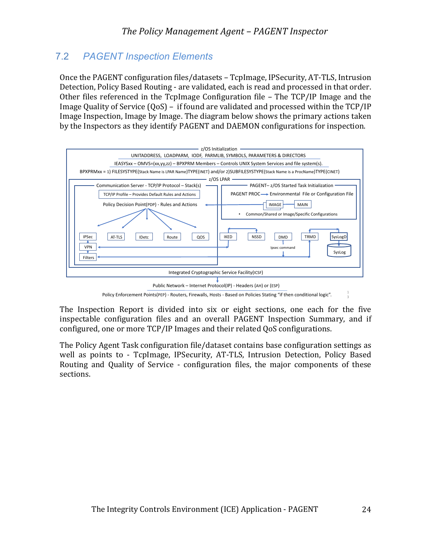## 7.2 *PAGENT Inspection Elements*

Once the PAGENT configuration files/datasets – TcpImage, IPSecurity, AT-TLS, Intrusion Detection, Policy Based Routing - are validated, each is read and processed in that order. Other files referenced in the TcpImage Configuration file  $-$  The TCP/IP Image and the Image Quality of Service  $(QoS) - if found are validated and processed within the TCP/IP$ Image Inspection, Image by Image. The diagram below shows the primary actions taken by the Inspectors as they identify PAGENT and DAEMON configurations for inspection.



Policy Enforcement Points(PEP) - Routers, Firewalls, Hosts - Based on Policies Stating "if then conditional logic".

The Inspection Report is divided into six or eight sections, one each for the five inspectable configuration files and an overall PAGENT Inspection Summary, and if configured, one or more TCP/IP Images and their related QoS configurations.

The Policy Agent Task configuration file/dataset contains base configuration settings as well as points to - TcpImage, IPSecurity, AT-TLS, Intrusion Detection, Policy Based Routing and Quality of Service - configuration files, the major components of these sections.

3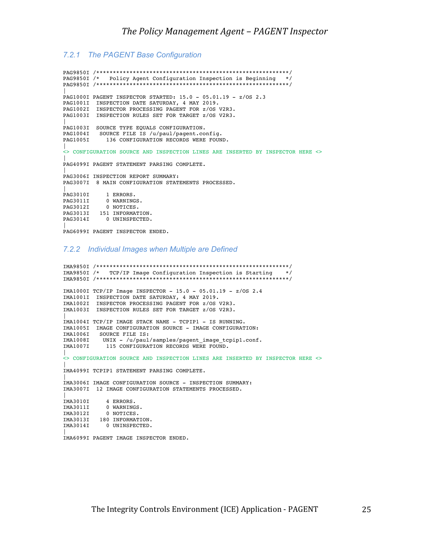#### *7.2.1 The PAGENT Base Configuration*

PAG9850I /\*\*\*\*\*\*\*\*\*\*\*\*\*\*\*\*\*\*\*\*\*\*\*\*\*\*\*\*\*\*\*\*\*\*\*\*\*\*\*\*\*\*\*\*\*\*\*\*\*\*\*\*\*\*\*\*\*\*/ PAG9850I /\* Policy Agent Configuration Inspection is Beginning \*/ PAG9850I /\*\*\*\*\*\*\*\*\*\*\*\*\*\*\*\*\*\*\*\*\*\*\*\*\*\*\*\*\*\*\*\*\*\*\*\*\*\*\*\*\*\*\*\*\*\*\*\*\*\*\*\*\*\*\*\*\*\*/ | PAG1000I PAGENT INSPECTOR STARTED: 15.0 - 05.01.19 - z/OS 2.3 PAG1001I INSPECTION DATE SATURDAY, 4 MAY 2019. PAG1002I INSPECTOR PROCESSING PAGENT FOR z/OS V2R3. PAG1003I INSPECTION RULES SET FOR TARGET z/OS V2R3. | PAG1003I SOURCE TYPE EQUALS CONFIGURATION. PAG1004I SOURCE FILE IS /u/paul/pagent.config. PAG1005I 136 CONFIGURATION RECORDS WERE FOUND. | <> CONFIGURATION SOURCE AND INSPECTION LINES ARE INSERTED BY INSPECTOR HERE <> | PAG4099I PAGENT STATEMENT PARSING COMPLETE. | PAG3006I INSPECTION REPORT SUMMARY: PAG3007I 8 MAIN CONFIGURATION STATEMENTS PROCESSED. | PAG3010I 1 ERRORS. PAG3011I 0 WARNINGS. PAG3012I 0 NOTICES. PAG3013I 151 INFORMATION. PAG3014I 0 UNINSPECTED. |

PAG6099I PAGENT INSPECTOR ENDED.

#### *7.2.2 Individual Images when Multiple are Defined*

IMA9850I /\*\*\*\*\*\*\*\*\*\*\*\*\*\*\*\*\*\*\*\*\*\*\*\*\*\*\*\*\*\*\*\*\*\*\*\*\*\*\*\*\*\*\*\*\*\*\*\*\*\*\*\*\*\*\*\*\*\*/ IMA9850I /\* TCP/IP Image Configuration Inspection is Starting \*/ IMA9850I /\*\*\*\*\*\*\*\*\*\*\*\*\*\*\*\*\*\*\*\*\*\*\*\*\*\*\*\*\*\*\*\*\*\*\*\*\*\*\*\*\*\*\*\*\*\*\*\*\*\*\*\*\*\*\*\*\*\*/  $IMA1000I TCP/IP Image INSPECTOR - 15.0 - 05.01.19 - z/OS 2.4$ IMA1001I INSPECTION DATE SATURDAY, 4 MAY 2019. IMA1002I INSPECTOR PROCESSING PAGENT FOR z/OS V2R3. IMA1003I INSPECTION RULES SET FOR TARGET z/OS V2R3. | IMA1004I TCP/IP IMAGE STACK NAME - TCPIP1 - IS RUNNING. IMA1005I IMAGE CONFIGURATION SOURCE - IMAGE CONFIGURATION: IMA1006I SOURCE FILE IS:<br>IMA1008I UNIX - /u/paul UNIX - /u/paul/samples/pagent\_image\_tcpip1.conf. IMA1007I 115 CONFIGURATION RECORDS WERE FOUND. | <> CONFIGURATION SOURCE AND INSPECTION LINES ARE INSERTED BY INSPECTOR HERE <> | IMA4099I TCPIP1 STATEMENT PARSING COMPLETE. | IMA3006I IMAGE CONFIGURATION SOURCE - INSPECTION SUMMARY: IMA3007I 12 IMAGE CONFIGURATION STATEMENTS PROCESSED. | IMA3010I 4 ERRORS. IMA3011I 0 WARNINGS. IMA3012I 0 NOTICES. IMA3013I 180 INFORMATION. IMA3014I 0 UNINSPECTED. | IMA6099I PAGENT IMAGE INSPECTOR ENDED.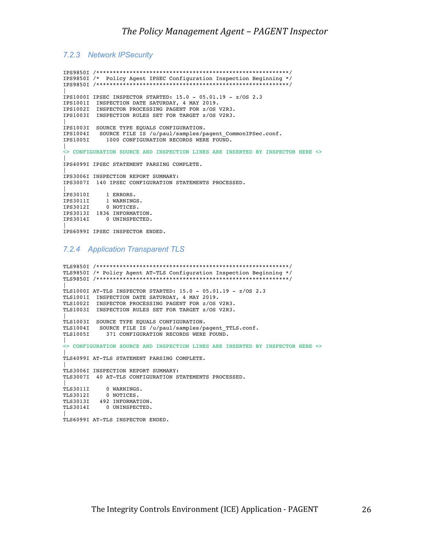#### *7.2.3 Network IPSecurity*

IPS9850I /\*\*\*\*\*\*\*\*\*\*\*\*\*\*\*\*\*\*\*\*\*\*\*\*\*\*\*\*\*\*\*\*\*\*\*\*\*\*\*\*\*\*\*\*\*\*\*\*\*\*\*\*\*\*\*\*\*\*/ IPS9850I /\* Policy Agent IPSEC Configuration Inspection Beginning \*/ IPS9850I /\*\*\*\*\*\*\*\*\*\*\*\*\*\*\*\*\*\*\*\*\*\*\*\*\*\*\*\*\*\*\*\*\*\*\*\*\*\*\*\*\*\*\*\*\*\*\*\*\*\*\*\*\*\*\*\*\*\*/ | IPS1000I IPSEC INSPECTOR STARTED: 15.0 - 05.01.19 - z/OS 2.3 IPS1001I INSPECTION DATE SATURDAY, 4 MAY 2019. IPS1002I INSPECTOR PROCESSING PAGENT FOR z/OS V2R3. IPS1003I INSPECTION RULES SET FOR TARGET z/OS V2R3. | IPS1003I SOURCE TYPE EQUALS CONFIGURATION. IPS1004I SOURCE FILE IS /u/paul/samples/pagent\_CommonIPSec.conf. 1000 CONFIGURATION RECORDS WERE FOUND. | <> CONFIGURATION SOURCE AND INSPECTION LINES ARE INSERTED BY INSPECTOR HERE <> | IPS4099I IPSEC STATEMENT PARSING COMPLETE. | IPS3006I INSPECTION REPORT SUMMARY: IPS3007I 140 IPSEC CONFIGURATION STATEMENTS PROCESSED. | IPS3010I 1 ERRORS. IPS3011I 1 WARNINGS. IPS3012I 0 NOTICES. IPS3013I 1836 INFORMATION. IPS3014I 0 UNINSPECTED. | IPS6099I IPSEC INSPECTOR ENDED.

#### *7.2.4 Application Transparent TLS*

TLS9850I /\*\*\*\*\*\*\*\*\*\*\*\*\*\*\*\*\*\*\*\*\*\*\*\*\*\*\*\*\*\*\*\*\*\*\*\*\*\*\*\*\*\*\*\*\*\*\*\*\*\*\*\*\*\*\*\*\*\*/ TLS9850I /\* Policy Agent AT-TLS Configuration Inspection Beginning \*/ TLS9850I /\*\*\*\*\*\*\*\*\*\*\*\*\*\*\*\*\*\*\*\*\*\*\*\*\*\*\*\*\*\*\*\*\*\*\*\*\*\*\*\*\*\*\*\*\*\*\*\*\*\*\*\*\*\*\*\*\*\*/ | TLS1000I AT-TLS INSPECTOR STARTED: 15.0 - 05.01.19 - z/OS 2.3 TLS1001I INSPECTION DATE SATURDAY, 4 MAY 2019. TLS1002I INSPECTOR PROCESSING PAGENT FOR z/OS V2R3. TLS1003I INSPECTION RULES SET FOR TARGET z/OS V2R3. | TLS1003I SOURCE TYPE EQUALS CONFIGURATION. TLS1004I SOURCE FILE IS /u/paul/samples/pagent\_TTLS.conf. TLS1005I 371 CONFIGURATION RECORDS WERE FOUND. | <> CONFIGURATION SOURCE AND INSPECTION LINES ARE INSERTED BY INSPECTOR HERE <> | TLS4099I AT-TLS STATEMENT PARSING COMPLETE. | TLS3006I INSPECTION REPORT SUMMARY: TLS3007I 40 AT-TLS CONFIGURATION STATEMENTS PROCESSED. | TLS3011I 0 WARNINGS. TLS3012I 0 NOTICES. TLS3013I 492 INFORMATION. TLS3014I 0 UNINSPECTED. | TLS6099I AT-TLS INSPECTOR ENDED.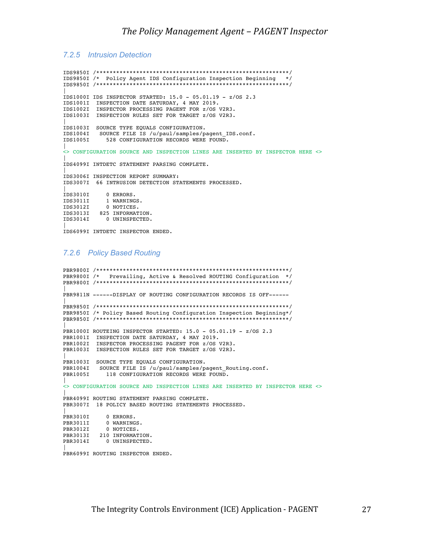#### *7.2.5 Intrusion Detection*

IDS9850I /\*\*\*\*\*\*\*\*\*\*\*\*\*\*\*\*\*\*\*\*\*\*\*\*\*\*\*\*\*\*\*\*\*\*\*\*\*\*\*\*\*\*\*\*\*\*\*\*\*\*\*\*\*\*\*\*\*\*/ IDS9850I /\* Policy Agent IDS Configuration Inspection Beginning \*/ IDS9850I /\*\*\*\*\*\*\*\*\*\*\*\*\*\*\*\*\*\*\*\*\*\*\*\*\*\*\*\*\*\*\*\*\*\*\*\*\*\*\*\*\*\*\*\*\*\*\*\*\*\*\*\*\*\*\*\*\*\*/ | IDS1000I IDS INSPECTOR STARTED: 15.0 - 05.01.19 - z/OS 2.3 IDS1001I INSPECTION DATE SATURDAY, 4 MAY 2019. IDS1002I INSPECTOR PROCESSING PAGENT FOR z/OS V2R3. IDS1003I INSPECTION RULES SET FOR TARGET z/OS V2R3. | IDS1003I SOURCE TYPE EQUALS CONFIGURATION. IDS1004I SOURCE FILE IS /u/paul/samples/pagent\_IDS.conf. IDS1005I 528 CONFIGURATION RECORDS WERE FOUND. | <> CONFIGURATION SOURCE AND INSPECTION LINES ARE INSERTED BY INSPECTOR HERE <> | IDS4099I INTDETC STATEMENT PARSING COMPLETE. | IDS3006I INSPECTION REPORT SUMMARY: IDS3007I 66 INTRUSION DETECTION STATEMENTS PROCESSED. | IDS3010I 0 ERRORS. IDS3011I 1 WARNINGS. IDS3012I 0 NOTICES. IDS3013I 825 INFORMATION. IDS3014I 0 UNINSPECTED. | IDS6099I INTDETC INSPECTOR ENDED.

#### *7.2.6 Policy Based Routing*

```
PBR9800I /**********************************************************/
PBR9800I /* Prevailing, Active & Resolved ROUTING Configuration */
PBR9800I /**********************************************************/
|
PBR9811N ------DISPLAY OF ROUTING CONFIGURATION RECORDS IS OFF------
|
PBR9850I /**********************************************************/
PBR9850I /* Policy Based Routing Configuration Inspection Beginning*/
PBR9850I /**********************************************************/
|
PBR1000I ROUTEING INSPECTOR STARTED: 15.0 - 05.01.19 - z/OS 2.3 
PBR1001I INSPECTION DATE SATURDAY, 4 MAY 2019.
PBR1002I INSPECTOR PROCESSING PAGENT FOR z/OS V2R3.
PBR1003I INSPECTION RULES SET FOR TARGET z/OS V2R3.
|
PBR1003I SOURCE TYPE EQUALS CONFIGURATION.
PBR1004I SOURCE FILE IS /u/paul/samples/pagent_Routing.conf.<br>PBR1005I 118 CONFIGURATION RECORDS WERE FOUND.
             118 CONFIGURATION RECORDS WERE FOUND.
|
<> CONFIGURATION SOURCE AND INSPECTION LINES ARE INSERTED BY INSPECTOR HERE <>
|
PBR4099I ROUTING STATEMENT PARSING COMPLETE.
PBR3007I 18 POLICY BASED ROUTING STATEMENTS PROCESSED.
|
PBR3010I 0 ERRORS.
PBR3011I 0 WARNINGS.
PBR3012I 0 NOTICES.
PBR3013I 210 INFORMATION.
PBR3014I 0 UNINSPECTED.
|
PBR6099I ROUTING INSPECTOR ENDED.
```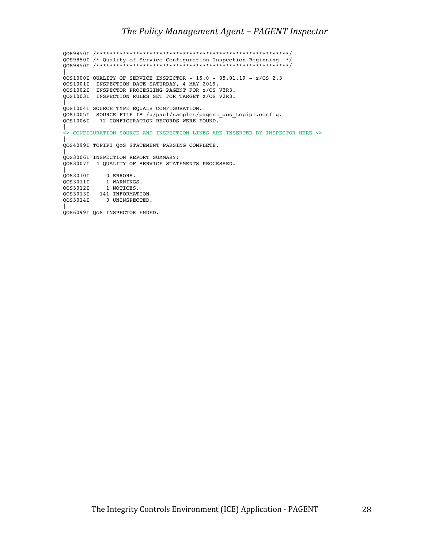QOS9850I /\*\*\*\*\*\*\*\*\*\*\*\*\*\*\*\*\*\*\*\*\*\*\*\*\*\*\*\*\*\*\*\*\*\*\*\*\*\*\*\*\*\*\*\*\*\*\*\*\*\*\*\*\*\*\*\*\*\*/ QOS9850I /\* Quality of Service Configuration Inspection Beginning \*/ QOS9850I /\*\*\*\*\*\*\*\*\*\*\*\*\*\*\*\*\*\*\*\*\*\*\*\*\*\*\*\*\*\*\*\*\*\*\*\*\*\*\*\*\*\*\*\*\*\*\*\*\*\*\*\*\*\*\*\*\*\*/ | QOS1000I QUALITY OF SERVICE INSPECTOR - 15.0 - 05.01.19 - z/OS 2.3 QOS1001I INSPECTION DATE SATURDAY, 4 MAY 2019. QOS1002I INSPECTOR PROCESSING PAGENT FOR z/OS V2R3. QOS1003I INSPECTION RULES SET FOR TARGET z/OS V2R3. | QOS1004I SOURCE TYPE EQUALS CONFIGURATION. QOS1005I SOURCE FILE IS /u/paul/samples/pagent\_qos\_tcpip1.config. QOS1006I 72 CONFIGURATION RECORDS WERE FOUND. | <> CONFIGURATION SOURCE AND INSPECTION LINES ARE INSERTED BY INSPECTOR HERE <> | QOS4099I TCPIP1 QoS STATEMENT PARSING COMPLETE. | QOS3006I INSPECTION REPORT SUMMARY: QOS3007I 4 QUALITY OF SERVICE STATEMENTS PROCESSED. | QOS3010I 0 ERRORS. QOS3011I 1 WARNINGS. QOS3012I 1 NOTICES. QOS3013I 141 INFORMATION. QOS3014I 0 UNINSPECTED. | QOS6099I QoS INSPECTOR ENDED.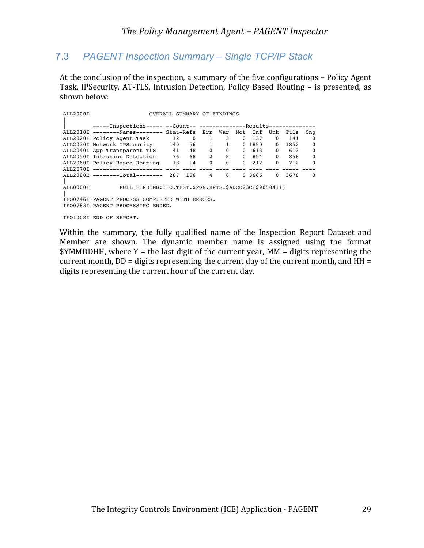## 7.3 *PAGENT Inspection Summary – Single TCP/IP Stack*

At the conclusion of the inspection, a summary of the five configurations - Policy Agent Task, IPSecurity, AT-TLS, Intrusion Detection, Policy Based Routing - is presented, as shown below:

| ALL2000I |                                                                      |     | OVERALL SUMMARY OF FINDINGS |                |                |              |              |              |      |                 |
|----------|----------------------------------------------------------------------|-----|-----------------------------|----------------|----------------|--------------|--------------|--------------|------|-----------------|
|          | -----Inspections----- --Count-- ---------------Results-------------- |     |                             |                |                |              |              |              |      |                 |
|          | ALL2010I --------Names-------- Stmt-Refs Err War Not                 |     |                             |                |                |              |              | Inf Unk      | Ttls | C <sub>nq</sub> |
|          | ALL2020I Policy Agent Task 12                                        |     | $\overline{0}$              | $\overline{1}$ | 3              | $\mathbf{0}$ | 137          | $\Omega$     | 141  | $\Omega$        |
|          | ALL2030I Network IPSecurity                                          | 140 |                             | 56 1 1         |                |              | 0 1850       | $\Omega$     | 1852 | $\mathbf 0$     |
|          | ALL2040I App Transparent TLS 41                                      |     |                             | 48 0           | $\overline{0}$ |              | 0 613        | $\Omega$     | 613  | 0               |
|          | ALL2050I Intrusion Detection 76                                      |     |                             | 68 2           |                | $2^{\circ}$  | 0 854        | $\mathbf{0}$ | 858  | $\mathbf 0$     |
|          | ALL2060I Policy Based Routing 18                                     |     | 14                          | $\mathbf 0$    | $\Omega$       |              | $0\quad 212$ | $\Omega$     | 212  | $\Omega$        |
|          |                                                                      |     |                             |                |                |              |              |              |      |                 |
|          | ALL2080E --------Total-------- 287 186                               |     |                             | 4              | 6              |              | 0, 3666      | $\Omega$     | 3676 | $\Omega$        |
| ALL0000I | FULL FINDING: IFO. TEST. \$PGN. RPTS. \$ADCD23C(\$9050411)           |     |                             |                |                |              |              |              |      |                 |
|          | IFO0746I PAGENT PROCESS COMPLETED WITH ERRORS.                       |     |                             |                |                |              |              |              |      |                 |
|          | IFO0783I PAGENT PROCESSING ENDED.                                    |     |                             |                |                |              |              |              |      |                 |
|          | IFO1002I END OF REPORT.                                              |     |                             |                |                |              |              |              |      |                 |

Within the summary, the fully qualified name of the Inspection Report Dataset and Member are shown. The dynamic member name is assigned using the format  $$YMMDDHH, where Y = the last digit of the current year, MM = digits representing the$ current month,  $DD =$  digits representing the current day of the current month, and  $HH =$ digits representing the current hour of the current day.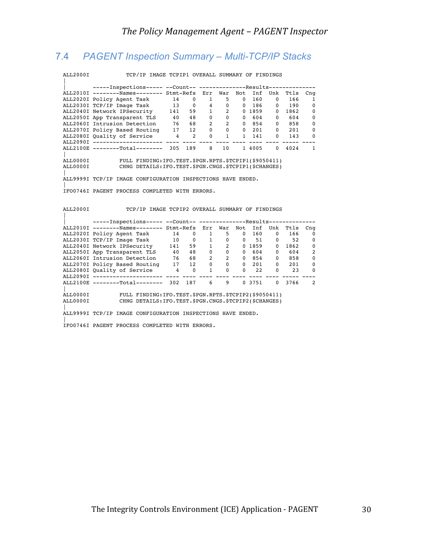## 7.4 *PAGENT Inspection Summary – Multi-TCP/IP Stacks*

ALL2000I TCP/IP IMAGE TCPIP1 OVERALL SUMMARY OF FINDINGS

| -----Inspections----- --Count-- ---------------Results------------  |     |     |                                   |                   |                               |        |                   |            |                 |
|---------------------------------------------------------------------|-----|-----|-----------------------------------|-------------------|-------------------------------|--------|-------------------|------------|-----------------|
| ALL2010I --------Names-------- Stmt-Refs Err War                    |     |     |                                   |                   | Not                           | Inf    | Unk               | Ttls       | C <sub>nq</sub> |
| ALL2020I Policy Agent Task 14                                       |     |     | $0 \qquad \qquad$<br>$\mathbf{1}$ |                   | $5^{\circ}$<br>$\Omega$       | 160    | $0 \qquad \qquad$ | 166        | $\mathbf{1}$    |
| ALL2030I TCP/IP Image Task 13                                       |     |     | $0\quad 4$                        | $\mathbf 0$       | $\mathbf{0}$                  | 186    |                   | $0 \t 190$ | $\mathbf 0$     |
| ALL2040I Network IPSecurity                                         | 141 |     | $\mathbf{1}$<br>59                |                   | $2^{\sim}$                    | 0 1859 | $\mathbf{0}$      | 1862       | $\mathbf 0$     |
| ALL2050I App Transparent TLS                                        | 40  | 48  |                                   | $0 \qquad \qquad$ | $0 \qquad \qquad$<br>$\Omega$ | 604    |                   | 0 604      | $\Omega$        |
| ALL2060I Intrusion Detection 76                                     |     | 68  | 2                                 |                   | $2^{\circ}$<br>$\Omega$       |        |                   | 854 0 858  | $\mathbf{0}$    |
| ALL2070I Policy Based Routing 17 12                                 |     |     | $\Omega$                          |                   | $\Omega$<br>$\Omega$          | 201    |                   | $0\ 201$   | $\Omega$        |
| ALL2080I Quality of Service 4 2                                     |     |     | $\Omega$                          |                   | $1 \quad \blacksquare$        | 1 141  |                   | $0 \t 143$ | $\Omega$        |
|                                                                     |     |     |                                   |                   |                               |        |                   | ----       |                 |
| ALL2100E --------Total-------- 305                                  |     | 189 | 8                                 | 10                |                               | 1 4005 | $\Omega$          | 4024       | $\mathbf{1}$    |
|                                                                     |     |     |                                   |                   |                               |        |                   |            |                 |
| ALL0000I FULL FINDING: IFO.TEST. \$PGN.RPTS. \$TCPIP1(\$9050411)    |     |     |                                   |                   |                               |        |                   |            |                 |
| ALL0000I CHNG DETAILS: IFO. TEST. \$PGN. CNGS. \$TCPIP1 (\$CHANGES) |     |     |                                   |                   |                               |        |                   |            |                 |
|                                                                     |     |     |                                   |                   |                               |        |                   |            |                 |
| ALL9999I TCP/IP IMAGE CONFIGURATION INSPECTIONS HAVE ENDED.         |     |     |                                   |                   |                               |        |                   |            |                 |
|                                                                     |     |     |                                   |                   |                               |        |                   |            |                 |
| IFO0746I PAGENT PROCESS COMPLETED WITH ERRORS.                      |     |     |                                   |                   |                               |        |                   |            |                 |
|                                                                     |     |     |                                   |                   |                               |        |                   |            |                 |
|                                                                     |     |     |                                   |                   |                               |        |                   |            |                 |
| ALL2000I TCP/IP IMAGE TCPIP2 OVERALL SUMMARY OF FINDINGS            |     |     |                                   |                   |                               |        |                   |            |                 |
|                                                                     |     |     |                                   |                   |                               |        |                   |            |                 |
| -----Inspections----- --Count-- ---------------Results------------  |     |     |                                   |                   |                               |        |                   |            |                 |
| ALL2010I --------Names-------- Stmt-Refs Err War Not                |     |     |                                   |                   |                               | Inf    | Unk               | Ttls       | Cnq             |
| ALL2020I Policy Agent Task 14                                       |     |     | $0 \t 1$                          |                   | $5^{\circ}$<br>$\Omega$       | 160    | $\mathbf{0}$      | 166        | $\Omega$        |
| ALL2030I TCP/IP Image Task 10 0 1 0 0 51 0                          |     |     |                                   |                   |                               |        |                   | 52         | $\Omega$        |
| ALL2040I Network IPSecurity 141                                     |     |     | 59                                | $1 \quad \Box$    | $2^{\sim}$                    | 0 1859 | $\Omega$          | 1862       | $\mathbf 0$     |

ALL2050I App Transparent TLS 40 48 0 0 0 604 0 604 2 ALL2060I Intrusion Detection 76 68 2 2 0 854 0 858 0 ALL2070I Policy Based Routing 17 12 0 0 0 201 0 201 0

ALL2090I --------------------- ---- ---- ---- ---- ---- ---- ---- ----- ---- ALL2100E --------Total-------- 302 187 6 9 0 3751 0 3766 2

CHNG DETAILS: IFO.TEST. \$PGN.CNGS. \$TCPIP2(\$CHANGES)

ALL0000I FULL FINDING:IFO.TEST.\$PGN.RPTS.\$TCPIP2(\$9050411)<br>ALL0000I CHNG DETAILS:IFO.TEST.\$PGN.CNGS.\$TCPIP2(\$CHANGES)

ALL9999I TCP/IP IMAGE CONFIGURATION INSPECTIONS HAVE ENDED.

IFO0746I PAGENT PROCESS COMPLETED WITH ERRORS.

ALL2080I Quality of Service

|

|

|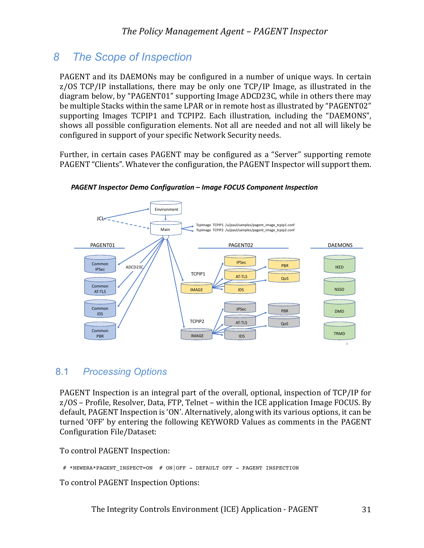# *8 The Scope of Inspection*

PAGENT and its DAEMONs may be configured in a number of unique ways. In certain z/OS TCP/IP installations, there may be only one TCP/IP Image, as illustrated in the diagram below, by "PAGENT01" supporting Image ADCD23C, while in others there may be multiple Stacks within the same LPAR or in remote host as illustrated by "PAGENT02" supporting Images TCPIP1 and TCPIP2. Each illustration, including the "DAEMONS", shows all possible configuration elements. Not all are needed and not all will likely be configured in support of your specific Network Security needs.

Further, in certain cases PAGENT may be configured as a "Server" supporting remote PAGENT "Clients". Whatever the configuration, the PAGENT Inspector will support them.



*PAGENT Inspector Demo Configuration – Image FOCUS Component Inspection*

## 8.1 *Processing Options*

PAGENT Inspection is an integral part of the overall, optional, inspection of TCP/IP for  $z/OS$  – Profile, Resolver, Data, FTP, Telnet – within the ICE application Image FOCUS. By default, PAGENT Inspection is 'ON'. Alternatively, along with its various options, it can be turned 'OFF' by entering the following KEYWORD Values as comments in the PAGENT Configuration File/Dataset:

To control PAGENT Inspection:

# \*NEWERA\*PAGENT INSPECT=ON # ON|OFF - DEFAULT OFF - PAGENT INSPECTION

To control PAGENT Inspection Options: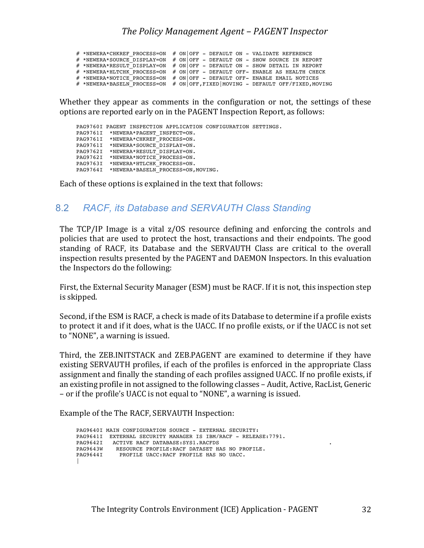# \*NEWERA\*CHKREF\_PROCESS=ON # ON|OFF - DEFAULT ON - VALIDATE REFERENCE # \*NEWERA\*SOURCE\_DISPLAY=ON # ON|OFF - DEFAULT ON - SHOW SOURCE IN REPORT # \*NEWERA\*RESULT DISPLAY=ON # ON|OFF - DEFAULT ON - SHOW DETAIL IN REPORT # \*NEWERA\*HLTCHK\_PROCESS=ON # ON OFF - DEFAULT OFF- ENABLE AS HEALTH CHECK  $#$  \*NEWERA\*NOTICE\_PROCESS=ON  $#$  ON|OFF - DEFAULT OFF- ENABLE EMAIL NOTICES # \*NEWERA\*BASELN PROCESS=ON # ON OFF, FIXED MOVING - DEFAULT OFF/FIXED, MOVING

Whether they appear as comments in the configuration or not, the settings of these options are reported early on in the PAGENT Inspection Report, as follows:

```
 PAG9760I PAGENT INSPECTION APPLICATION CONFIGURATION SETTINGS.
 PAG9761I *NEWERA*PAGENT_INSPECT=ON.
 PAG9761I *NEWERA*CHKREF_PROCESS=ON.
 PAG9761I *NEWERA*SOURCE_DISPLAY=ON.
    PAG9762I *NEWERA*RESULT_DISPLAY=ON.
 PAG9762I *NEWERA*NOTICE_PROCESS=ON.
 PAG9763I *NEWERA*HTLCHK_PROCESS=ON.
   PAG9764I *NEWERA*BASELN PROCESS=ON, MOVING.
```
Each of these options is explained in the text that follows:

## 8.2 *RACF, its Database and SERVAUTH Class Standing*

The  $TCP/IP$  Image is a vital  $z/OS$  resource defining and enforcing the controls and policies that are used to protect the host, transactions and their endpoints. The good standing of RACF, its Database and the SERVAUTH Class are critical to the overall inspection results presented by the PAGENT and DAEMON Inspectors. In this evaluation the Inspectors do the following:

First, the External Security Manager (ESM) must be RACF. If it is not, this inspection step is skipped.

Second, if the ESM is RACF, a check is made of its Database to determine if a profile exists to protect it and if it does, what is the UACC. If no profile exists, or if the UACC is not set to "NONE", a warning is issued.

Third, the ZEB.INITSTACK and ZEB.PAGENT are examined to determine if they have existing SERVAUTH profiles, if each of the profiles is enforced in the appropriate Class assignment and finally the standing of each profiles assigned UACC. If no profile exists, if an existing profile in not assigned to the following classes - Audit, Active, RacList, Generic – or if the profile's UACC is not equal to "NONE", a warning is issued.

Example of the The RACF, SERVAUTH Inspection:

```
 PAG9640I MAIN CONFIGURATION SOURCE - EXTERNAL SECURITY:
 PAG9641I EXTERNAL SECURITY MANAGER IS IBM/RACF - RELEASE:7791.
PAG9642I ACTIVE RACF DATABASE: SYS1. RACFDS
 PAG9643W RESOURCE PROFILE:RACF DATASET HAS NO PROFILE.
 PAG9644I PROFILE UACC:RACF PROFILE HAS NO UACC.
\perp
```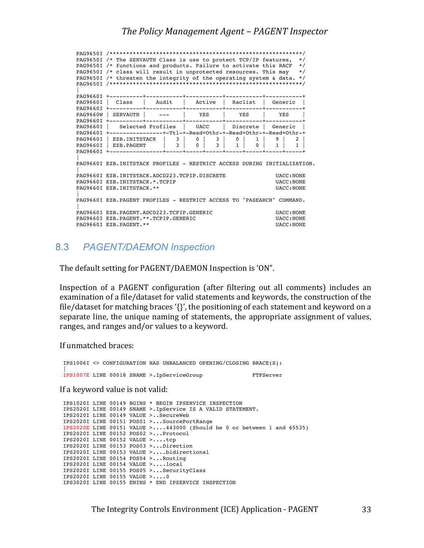PAG9650I /\*\*\*\*\*\*\*\*\*\*\*\*\*\*\*\*\*\*\*\*\*\*\*\*\*\*\*\*\*\*\*\*\*\*\*\*\*\*\*\*\*\*\*\*\*\*\*\*\*\*\*\*\*\*\*\*\*\*/ PAG9650I /\* The SERVAUTH Class is use to protect TCP/IP features, \*/ PAG9650I /\* functions and products. Failure to activate this RACF \*/ PAG9650I /\* class will result in unprotected resources. This may \*/ PAG9650I /\* threaten the integrity of the operating system & data. \*/ PAG9650I /\*\*\*\*\*\*\*\*\*\*\*\*\*\*\*\*\*\*\*\*\*\*\*\*\*\*\*\*\*\*\*\*\*\*\*\*\*\*\*\*\*\*\*\*\*\*\*\*\*\*\*\*\*\*\*\*\*\*/ | PAG9660I +----------+-----------+-----------+-----------+-----------+ PAG9660I | Class | Audit | Active | Raclist | Generic | PAG9660I +----------+-----------+-----------+-----------+-----------+ PAG9660W | SERVAUTH | --- | YES | YES | YES PAG9660I +----------+-----------+-----------+-----------+-----------+ PAG9660I | Selected Profiles | UACC | Discrete | Generic | PAG9660I +----------------+-Ttl-+-Read+Othr-+-Read+Othr-+-Read+Othr-+ PAG9660I | EZB.INITSTACK | 3 | 0 | 3 | 0 | 1 | 9 | 2 | PAG9660I | EZB.PAGENT | 3 | 0 | 3 | 1 | 0 | 1 | 1 | PAG9660I +----------------+-----+-----+-----+-----+-----+-----+-----+ | PAG9660I EZB.INITSTACK PROFILES - RESTRICT ACCESS DURING INITIALIZATION. | PAG9660I EZB.INITSTACK.ADCD223.TCPIP.DISCRETE UACC:NONE PAG9660I EZB.INITSTACK.\*.TCPIP UACC:NONE PAG9660I EZB.INITSTACK.\*\* PAG9660I EZB.INITSTACK.\*\* | PAG9660I EZB.PAGENT PROFILES - RESTRICT ACCESS TO "PASEARCH" COMMAND. | PAG9660I EZB.PAGENT.ADCD223.TCPIP.GENERIC UACC:NONE PAG9660I EZB.PAGENT.\*\*.TCPIP.GENERIC UACC:NONE PAG9660I EZB.PAGENT.\*\* PAG9660I EZB.PAGENT.\*\*

### 8.3 *PAGENT/DAEMON Inspection*

The default setting for PAGENT/DAEMON Inspection is 'ON".

Inspection of a PAGENT configuration (after filtering out all comments) includes an examination of a file/dataset for valid statements and keywords, the construction of the file/dataset for matching braces '{}', the positioning of each statement and keyword on a separate line, the unique naming of statements, the appropriate assignment of values, ranges, and ranges and/or values to a keyword.

If unmatched braces:

IPS1006I <> CONFIGURATION HAS UNBALANCED OPENING/CLOSING BRACE(S): | IPS1007E LINE 00018 SNAME >.IpServiceGroup FTPServer

If a keyword value is not valid:

IPS1020I LINE 00149 BGINS \* BEGIN IPSERVICE INSPECTION IPS2020I LINE 00149 SNAME >.IpService IS A VALID STATEMENT. IPS2020I LINE 00149 VALUE >..SecureWeb IPS2020I LINE 00151 POS01 >...SourcePortRange IPS2020E LINE 00151 VALUE >....443000 (Should be 0 or between 1 and 65535) IPS2020I LINE 00152 POS02 >...Protocol IPS2020I LINE 00152 VALUE >....tcp IPS2020I LINE 00153 POS03 >...Direction IPS2020I LINE 00153 VALUE >....bidirectional IPS2020I LINE 00154 POS04 >...Routing IPS2020I LINE 00154 VALUE >....local IPS2020I LINE 00155 POS05 >...SecurityClass IPS2020I LINE 00155 VALUE >....0 IPS3020I LINE 00155 ENINS \* END IPSERVICE INSPECTION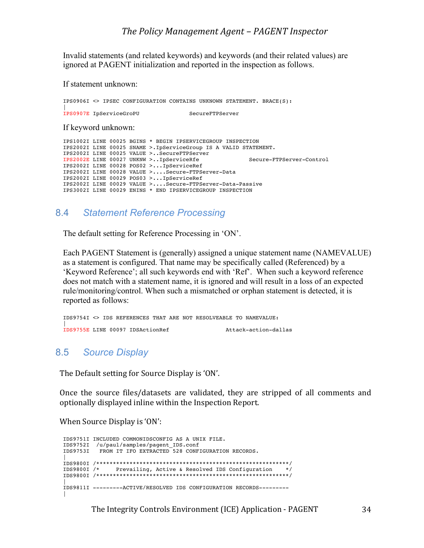### *The Policy Management Agent – PAGENT Inspector*

Invalid statements (and related keywords) and keywords (and their related values) are ignored at PAGENT initialization and reported in the inspection as follows.

If statement unknown:

```
IPS0906I <> IPSEC CONFIGURATION CONTAINS UNKNOWN STATEMENT. BRACE(S):
|
IPS0907E IpServiceGroPU SecureFTPServer
```
If keyword unknown:

```
IPS1002I LINE 00025 BGINS * BEGIN IPSERVICEGROUP INSPECTION
IPS2002I LINE 00025 SNAME >.IpServiceGroup IS A VALID STATEMENT.
IPS2002I LINE 00025 VALUE >..SecureFTPServer
IPS2002E LINE 00027 UNKNW >..IpServiceRfe Secure-FTPServer-Control
IPS2002I LINE 00028 POS02 >...IpServiceRef
IPS2002I LINE 00028 VALUE >....Secure-FTPServer-Data
IPS2002I LINE 00029 POS03 >...IpServiceRef
IPS2002I LINE 00029 VALUE >....Secure-FTPServer-Data-Passive
IPS3002I LINE 00029 ENINS * END IPSERVICEGROUP INSPECTION
```
### 8.4 *Statement Reference Processing*

The default setting for Reference Processing in 'ON'.

Each PAGENT Statement is (generally) assigned a unique statement name (NAMEVALUE) as a statement is configured. That name may be specifically called (Referenced) by a 'Keyword Reference'; all such keywords end with 'Ref'. When such a keyword reference does not match with a statement name, it is ignored and will result in a loss of an expected rule/monitoring/control. When such a mismatched or orphan statement is detected, it is reported as follows:

```
IDS9754I <> IDS REFERENCES THAT ARE NOT RESOLVEABLE TO NAMEVALUE:
|
IDS9755E LINE 00097 IDSActionRef Attack-action-dallas
```
#### 8.5 *Source Display*

The Default setting for Source Display is 'ON'.

Once the source files/datasets are validated, they are stripped of all comments and optionally displayed inline within the Inspection Report.

When Source Display is 'ON':

```
IDS9751I INCLUDED COMMONIDSCONFIG AS A UNIX FILE.
IDS9752I /u/paul/samples/pagent_IDS.conf
IDS9753I FROM IT IFO EXTRACTED 528 CONFIGURATION RECORDS.
|
IDS9800I /**********************************************************/
IDS9800I /* Prevailing, Active & Resolved IDS Configuration */
IDS9800I /**********************************************************/
|
IDS9811I ---------ACTIVE/RESOLVED IDS CONFIGURATION RECORDS---------
\perp
```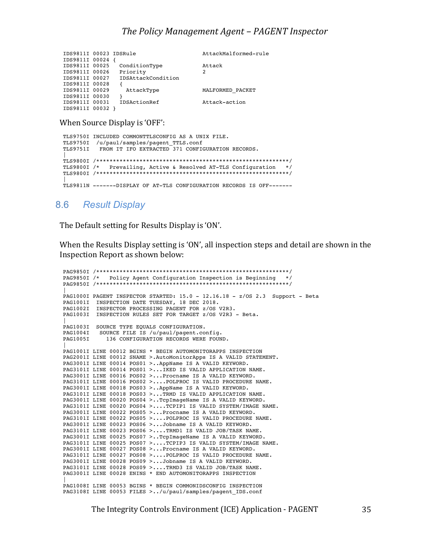|                |                    | AttackMalformed-rule                       |
|----------------|--------------------|--------------------------------------------|
|                |                    |                                            |
| IDS9811I 00025 | ConditionType      | Attack                                     |
| IDS9811I 00026 | Priority           | 2                                          |
| IDS9811I 00027 | IDSAttackCondition |                                            |
| IDS9811I 00028 |                    |                                            |
| IDS9811I 00029 | AttackType         | MALFORMED PACKET                           |
| IDS9811I 00030 |                    |                                            |
| IDS9811I 00031 | IDSActionRef       | Attack-action                              |
| IDS9811I 00032 |                    |                                            |
|                |                    | IDS9811I 00023 IDSRule<br>IDS9811I 00024 { |

When Source Display is 'OFF':

```
TLS9750I INCLUDED COMMONTTLSCONFIG AS A UNIX FILE.
TLS9750I /u/paul/samples/pagent_TTLS.conf
TLS9751I FROM IT IFO EXTRACTED 371 CONFIGURATION RECORDS.
|
TLS9800I /**********************************************************/
TLS9800I /* Prevailing, Active & Resolved AT-TLS Configuration */
TLS9800I /**********************************************************/
|
TLS9811N -------DISPLAY OF AT-TLS CONFIGURATION RECORDS IS OFF-------
```
### 8.6 *Result Display*

The Default setting for Results Display is 'ON'.

When the Results Display setting is 'ON', all inspection steps and detail are shown in the Inspection Report as shown below:

```
PAG9850I /**********************************************************/
PAG9850I /* Policy Agent Configuration Inspection is Beginning */
PAG9850I /**********************************************************/
|
PAG1000I PAGENT INSPECTOR STARTED: 15.0 - 12.16.18 - z/OS 2.3 Support - Beta
PAG1001I INSPECTION DATE TUESDAY, 18 DEC 2018.
PAG1002I INSPECTOR PROCESSING PAGENT FOR z/OS V2R3.
PAG1003I INSPECTION RULES SET FOR TARGET z/OS V2R3 - Beta.
|
PAG1003I SOURCE TYPE EQUALS CONFIGURATION.
PAG1004I SOURCE FILE IS /u/paul/pagent.config.
PAG1005I 136 CONFIGURATION RECORDS WERE FOUND.
|
PAG1001I LINE 00012 BGINS * BEGIN AUTOMONITORAPPS INSPECTION
PAG2001I LINE 00012 SNAME >.AutoMonitorApps IS A VALID STATEMENT.
PAG3001I LINE 00014 POS01 >..AppName IS A VALID KEYWORD.
PAG3101I LINE 00014 POS01 >...IKED IS VALID APPLICATION NAME.
PAG3001I LINE 00016 POS02 >...Procname IS A VALID KEYWORD.
PAG3101I LINE 00016 POS02 >....POLPROC IS VALID PROCEDURE NAME.
PAG3001I LINE 00018 POS03 >..AppName IS A VALID KEYWORD.
PAG3101I LINE 00018 POS03 >...TRMD IS VALID APPLICATION NAME.
PAG3001I LINE 00020 POS04 >..TcpImageName IS A VALID KEYWORD.
PAG3101I LINE 00020 POS04 >....TCPIP1 IS VALID SYSTEM/IMAGE NAME.
PAG3001I LINE 00022 POS05 >...Procname IS A VALID KEYWORD.
PAG3101I LINE 00022 POS05 >....POLPROC IS VALID PROCEDURE NAME.
PAG3001I LINE 00023 POS06 >...Jobname IS A VALID KEYWORD.
PAG3101I LINE 00023 POS06 >....TRMD1 IS VALID JOB/TASK NAME.
PAG3001I LINE 00025 POS07 >..TcpImageName IS A VALID KEYWORD.
PAG3101I LINE 00025 POS07 >....TCPIP3 IS VALID SYSTEM/IMAGE NAME.
PAG3001I LINE 00027 POS08 >...Procname IS A VALID KEYWORD.
PAG3101I LINE 00027 POS08 >....POLPROC IS VALID PROCEDURE NAME.
PAG3001I LINE 00028 POS09 >...Jobname IS A VALID KEYWORD.
PAG3101I LINE 00028 POS09 >....TRMD3 IS VALID JOB/TASK NAME.
PAG3001I LINE 00028 ENINS * END AUTOMONITORAPPS INSPECTION
|
PAG1008I LINE 00053 BGINS * BEGIN COMMONIDSCONFIG INSPECTION
PAG3108I LINE 00053 FILES >../u/paul/samples/pagent_IDS.conf
```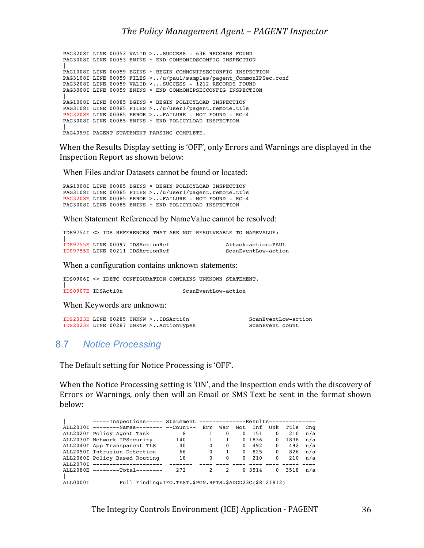PAG3208I LINE 00053 VALID >...SUCCESS - 636 RECORDS FOUND PAG3008I LINE 00053 ENINS \* END COMMONIDSCONFIG INSPECTION | PAG1008I LINE 00059 BGINS \* BEGIN COMMONIPSECCONFIG INSPECTION PAG3108I LINE 00059 FILES >../u/paul/samples/pagent\_CommonIPSec.conf PAG3208I LINE 00059 VALID >...SUCCESS - 1212 RECORDS FOUND PAG3008I LINE 00059 ENINS \* END COMMONIPSECCONFIG INSPECTION | PAG1008I LINE 00085 BGINS \* BEGIN POLICYLOAD INSPECTION PAG3108I LINE 00085 FILES >../u/user1/pagent.remote.ttls PAG3208E LINE 00085 ERROR >...FAILURE - NOT FOUND - RC=4 PAG3008I LINE 00085 ENINS \* END POLICYLOAD INSPECTION | PAG4099I PAGENT STATEMENT PARSING COMPLETE.

When the Results Display setting is 'OFF', only Errors and Warnings are displayed in the Inspection Report as shown below:

When Files and/or Datasets cannot be found or located:

PAG1008I LINE 00085 BGINS \* BEGIN POLICYLOAD INSPECTION PAG3108I LINE 00085 FILES >../u/user1/pagent.remote.ttls PAG3208E LINE 00085 ERROR >...FAILURE - NOT FOUND - RC=4 PAG3008I LINE 00085 ENINS \* END POLICYLOAD INSPECTION

When Statement Referenced by NameValue cannot be resolved:

IDS9754I <> IDS REFERENCES THAT ARE NOT RESOLVEABLE TO NAMEVALUE: |

|  | IDS9755E LINE 00097 IDSActionRef | Attack-action-PAUL  |
|--|----------------------------------|---------------------|
|  | IDS9755E LINE 00211 IDSActionRef | ScanEventLow-action |

When a configuration contains unknown statements:

IDS0906I <> IDETC CONFIGURATION CONTAINS UNKNOWN STATEMENT.

IDS0907E IDSActiOn

ScanEventLow-action

When Keywords are unknown:

IDS2023E LINE 00285 UNKNW >..IDSActi0n ScanEventLow-action<br>IDS2023E LINE 00287 UNKNW >..ActionTypes ScanEvent count  $IDS2023E$  LINE 00287 UNKNW >..ActionTypes

### 8.7 *Notice Processing*

The Default setting for Notice Processing is 'OFF'.

When the Notice Processing setting is 'ON', and the Inspection ends with the discovery of Errors or Warnings, only then will an Email or SMS Text be sent in the format shown below:

|          |                                                              | -----Inspections----- Statement --------------Results-------------- |              |          |          |        |          |      |     |  |
|----------|--------------------------------------------------------------|---------------------------------------------------------------------|--------------|----------|----------|--------|----------|------|-----|--|
|          | ALL2010I --------Names-------- --Count-- Err War Not Inf Unk |                                                                     |              |          |          |        |          | Ttls | Cnq |  |
|          | ALL2020I Policy Agent Task                                   | 8                                                                   |              | $\Omega$ | $\Omega$ | 151    | $\Omega$ | 210  | n/a |  |
|          | ALL2030I Network IPSecurity                                  | 140                                                                 | $\mathbf{1}$ |          |          | 0 1836 | $\Omega$ | 1838 | n/a |  |
|          | ALL2040I App Transparent TLS                                 | 40                                                                  | $\Omega$     | $\Omega$ | $\Omega$ | 492    | $\Omega$ | 492  | n/a |  |
|          | ALL2050I Intrusion Detection                                 | 66                                                                  | $\Omega$     |          | $\Omega$ | 825    | $\Omega$ | 826  | n/a |  |
|          | ALL2060I Policy Based Routing                                | 18                                                                  | $\Omega$     | $\Omega$ | $\Omega$ | 210    | $\Omega$ | 210  | n/a |  |
|          | ALL2070I ---------------------                               |                                                                     |              |          |          |        |          |      |     |  |
|          | ALL2080E --------Total--------                               | 272                                                                 | $2^{\circ}$  | 2        |          | 0 3514 | $\Omega$ | 3518 | n/a |  |
|          |                                                              |                                                                     |              |          |          |        |          |      |     |  |
| ALL0000I | Full Finding: IFO. TEST. \$PGN. RPTS. \$ADCD23C(\$8121812)   |                                                                     |              |          |          |        |          |      |     |  |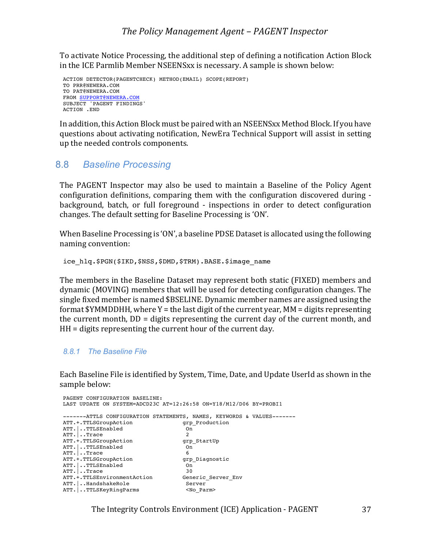To activate Notice Processing, the additional step of defining a notification Action Block in the ICE Parmlib Member NSEENSxx is necessary. A sample is shown below:

```
ACTION DETECTOR(PAGENTCHECK) METHOD(EMAIL) SCOPE(REPORT)
TO PRR@NEWERA.COM
TO PAT@NEWERA.COM
FROM SUPPORT@NEWERA.COM
SUBJECT 'PAGENT FINDINGS'
ACTION .END
```
In addition, this Action Block must be paired with an NSEENSxx Method Block. If you have questions about activating notification, NewEra Technical Support will assist in setting up the needed controls components.

### 8.8 *Baseline Processing*

The PAGENT Inspector may also be used to maintain a Baseline of the Policy Agent configuration definitions, comparing them with the configuration discovered during background, batch, or full foreground - inspections in order to detect configuration changes. The default setting for Baseline Processing is 'ON'.

When Baseline Processing is 'ON', a baseline PDSE Dataset is allocated using the following naming convention:

ice\_hlq.\$PGN(\$IKD,\$NSS,\$DMD,\$TRM).BASE.\$image\_name

The members in the Baseline Dataset may represent both static (FIXED) members and dynamic (MOVING) members that will be used for detecting configuration changes. The single fixed member is named \$BSELINE. Dynamic member names are assigned using the format  $$YMMDDHH$ , where  $Y =$  the last digit of the current year,  $MM =$  digits representing the current month,  $DD =$  digits representing the current day of the current month, and  $HH =$  digits representing the current hour of the current day.

#### *8.8.1 The Baseline File*

Each Baseline File is identified by System, Time, Date, and Update UserId as shown in the sample below:

```
PAGENT CONFIGURATION BASELINE:
LAST UPDATE ON SYSTEM=ADCD23C AT=12:26:58 ON=Y18/M12/D06 BY=PROBI1
-------ATTLS CONFIGURATION STATEMENTS, NAMES, KEYWORDS & VALUES-------
ATT.+.TTLSGroupAction grp_Production<br>ATT.1.TTLSEnabled on On
ATT.|..TTLSEnabled On
ATT.|..Trace 2
ATT. + TTT.SGroupActionATT. | ..TTLSEnabled 0n<br>ATT. | ..Trace 6
ATT...Trace<br>ATT. + TTTSGrounaction
                                    grp_Diagnostic
ATT. | ..TTLSEnabled 0n<br>ATT. | ..Trace 30
ATT...Trace
ATT.+.TTLSEnvironmentAction Generic_Server_Env<br>ATT.|..HandshakeRole Server Server
ATT.|..HandshakeRole Server
ATT. ..TTLSKeyRingParms
```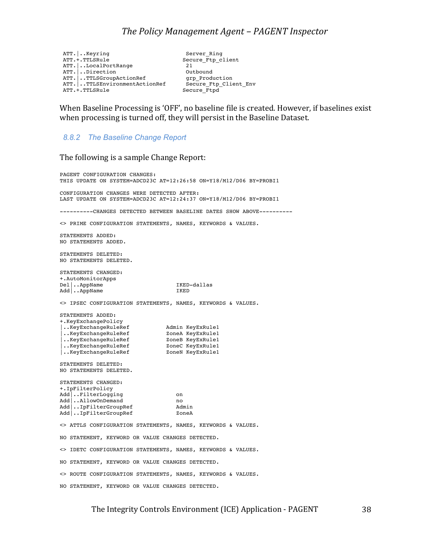ATT.|..Keyring Server\_Ring ATT.|..LocalPortRange 21 ATT.|..Direction Outbound ATT.|..TTLSGroupActionRef grp\_Production ATT.|..TTLSEnvironmentActionRef Secure\_Ftp\_Client\_Env ATT.+.TTLSRule Secure\_Ftpd

Secure\_Ftp\_client<br>21

When Baseline Processing is 'OFF', no baseline file is created. However, if baselines exist when processing is turned off, they will persist in the Baseline Dataset.

*8.8.2 The Baseline Change Report*

The following is a sample Change Report:

PAGENT CONFIGURATION CHANGES: THIS UPDATE ON SYSTEM=ADCD23C AT=12:26:58 ON=Y18/M12/D06 BY=PROBI1 CONFIGURATION CHANGES WERE DETECTED AFTER: LAST UPDATE ON SYSTEM=ADCD23C AT=12:24:37 ON=Y18/M12/D06 BY=PROBI1 ----------CHANGES DETECTED BETWEEN BASELINE DATES SHOW ABOVE---------- <> PRIME CONFIGURATION STATEMENTS, NAMES, KEYWORDS & VALUES. STATEMENTS ADDED: NO STATEMENTS ADDED. STATEMENTS DELETED: NO STATEMENTS DELETED. STATEMENTS CHANGED: +.AutoMonitorApps Del|..AppName IKED-dallas Add | ..AppName IKED <> IPSEC CONFIGURATION STATEMENTS, NAMES, KEYWORDS & VALUES. STATEMENTS ADDED: +.KeyExchangePolicy |..KeyExchangeRuleRef | Admin KeyExRule1 |..KeyExchangeRuleRef ZoneA KeyExRule1 |..KeyExchangeRuleRef ZoneB KeyExRule1 |..KeyExchangeRuleRef ZoneC KeyExRule1 |..KeyExchangeRuleRef ZoneN KeyExRule1 STATEMENTS DELETED: NO STATEMENTS DELETED. STATEMENTS CHANGED: +.IpFilterPolicy Add | ..FilterLogging on Add|..AllowOnDemand no<br>Add|..IpFilterGroupRef Admin Add|..IpFilterGroupRef Admin Add .. IpFilterGroupRef <> ATTLS CONFIGURATION STATEMENTS, NAMES, KEYWORDS & VALUES. NO STATEMENT, KEYWORD OR VALUE CHANGES DETECTED. <> IDETC CONFIGURATION STATEMENTS, NAMES, KEYWORDS & VALUES. NO STATEMENT, KEYWORD OR VALUE CHANGES DETECTED. <> ROUTE CONFIGURATION STATEMENTS, NAMES, KEYWORDS & VALUES. NO STATEMENT, KEYWORD OR VALUE CHANGES DETECTED.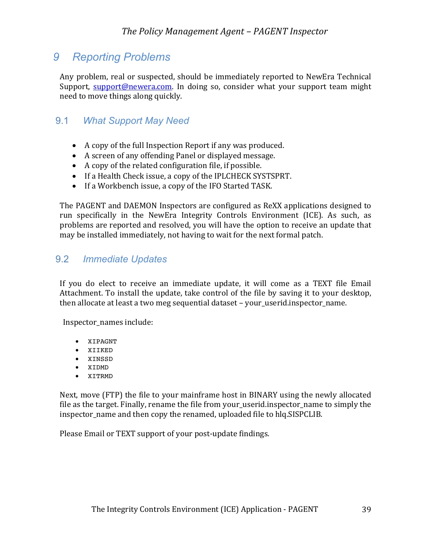# *9 Reporting Problems*

Any problem, real or suspected, should be immediately reported to NewEra Technical Support, **support@newera.com.** In doing so, consider what your support team might need to move things along quickly.

## 9.1 *What Support May Need*

- A copy of the full Inspection Report if any was produced.
- A screen of any offending Panel or displayed message.
- $\bullet$  A copy of the related configuration file, if possible.
- If a Health Check issue, a copy of the IPLCHECK SYSTSPRT.
- If a Workbench issue, a copy of the IFO Started TASK.

The PAGENT and DAEMON Inspectors are configured as ReXX applications designed to run specifically in the NewEra Integrity Controls Environment (ICE). As such, as problems are reported and resolved, you will have the option to receive an update that may be installed immediately, not having to wait for the next formal patch.

## 9.2 *Immediate Updates*

If you do elect to receive an immediate update, it will come as a TEXT file Email Attachment. To install the update, take control of the file by saving it to your desktop, then allocate at least a two meg sequential dataset - your\_userid.inspector\_name.

Inspector\_names include:

- XIPAGNT
- XIIKED
- XINSSD
- XIDMD
- XITRMD

Next, move (FTP) the file to your mainframe host in BINARY using the newly allocated file as the target. Finally, rename the file from your userid.inspector name to simply the inspector name and then copy the renamed, uploaded file to hlq.SISPCLIB.

Please Email or TEXT support of your post-update findings.